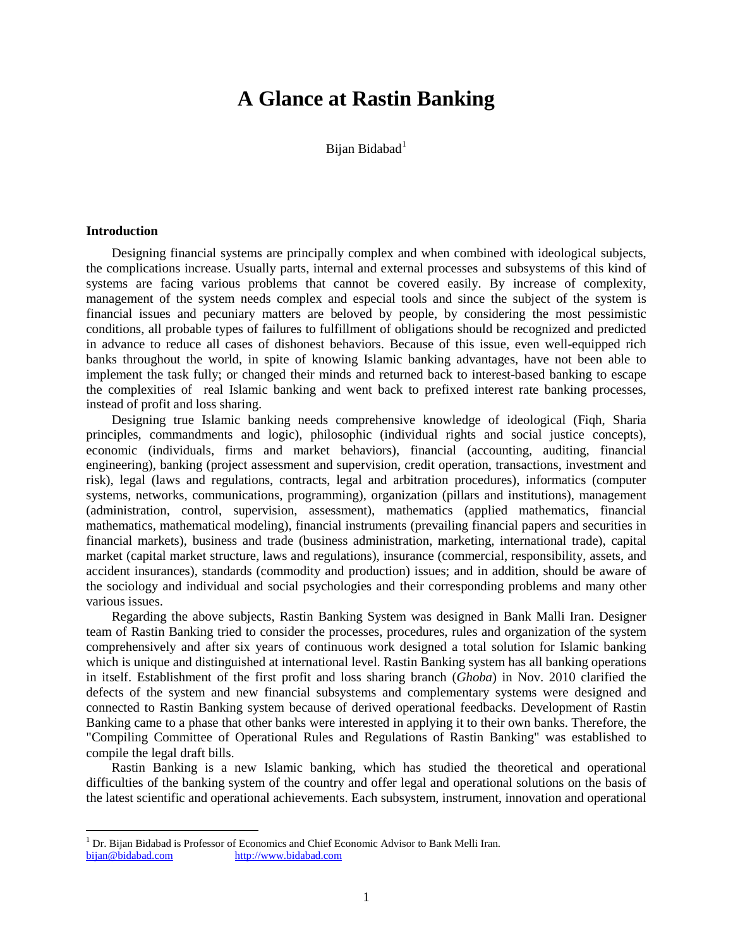# **A Glance at Rastin Banking**

Bijan Bidabad<sup>[1](#page-0-0)</sup>

#### **Introduction**

 $\overline{\phantom{a}}$ 

Designing financial systems are principally complex and when combined with ideological subjects, the complications increase. Usually parts, internal and external processes and subsystems of this kind of systems are facing various problems that cannot be covered easily. By increase of complexity, management of the system needs complex and especial tools and since the subject of the system is financial issues and pecuniary matters are beloved by people, by considering the most pessimistic conditions, all probable types of failures to fulfillment of obligations should be recognized and predicted in advance to reduce all cases of dishonest behaviors. Because of this issue, even well-equipped rich banks throughout the world, in spite of knowing Islamic banking advantages, have not been able to implement the task fully; or changed their minds and returned back to interest-based banking to escape the complexities of real Islamic banking and went back to prefixed interest rate banking processes, instead of profit and loss sharing.

Designing true Islamic banking needs comprehensive knowledge of ideological (Fiqh, Sharia principles, commandments and logic), philosophic (individual rights and social justice concepts), economic (individuals, firms and market behaviors), financial (accounting, auditing, financial engineering), banking (project assessment and supervision, credit operation, transactions, investment and risk), legal (laws and regulations, contracts, legal and arbitration procedures), informatics (computer systems, networks, communications, programming), organization (pillars and institutions), management (administration, control, supervision, assessment), mathematics (applied mathematics, financial mathematics, mathematical modeling), financial instruments (prevailing financial papers and securities in financial markets), business and trade (business administration, marketing, international trade), capital market (capital market structure, laws and regulations), insurance (commercial, responsibility, assets, and accident insurances), standards (commodity and production) issues; and in addition, should be aware of the sociology and individual and social psychologies and their corresponding problems and many other various issues.

Regarding the above subjects, Rastin Banking System was designed in Bank Malli Iran. Designer team of Rastin Banking tried to consider the processes, procedures, rules and organization of the system comprehensively and after six years of continuous work designed a total solution for Islamic banking which is unique and distinguished at international level. Rastin Banking system has all banking operations in itself. Establishment of the first profit and loss sharing branch (*Ghoba*) in Nov. 2010 clarified the defects of the system and new financial subsystems and complementary systems were designed and connected to Rastin Banking system because of derived operational feedbacks. Development of Rastin Banking came to a phase that other banks were interested in applying it to their own banks. Therefore, the "Compiling Committee of Operational Rules and Regulations of Rastin Banking" was established to compile the legal draft bills.

Rastin Banking is a new Islamic banking, which has studied the theoretical and operational difficulties of the banking system of the country and offer legal and operational solutions on the basis of the latest scientific and operational achievements. Each subsystem, instrument, innovation and operational

<span id="page-0-0"></span><sup>&</sup>lt;sup>1</sup> Dr. Bijan Bidabad is Professor of Economics and Chief Economic Advisor to Bank Melli Iran.<br>bijan @bidabad.com http://www.bidabad.com [http://www.bidabad.com](http://www.bidabad.com/)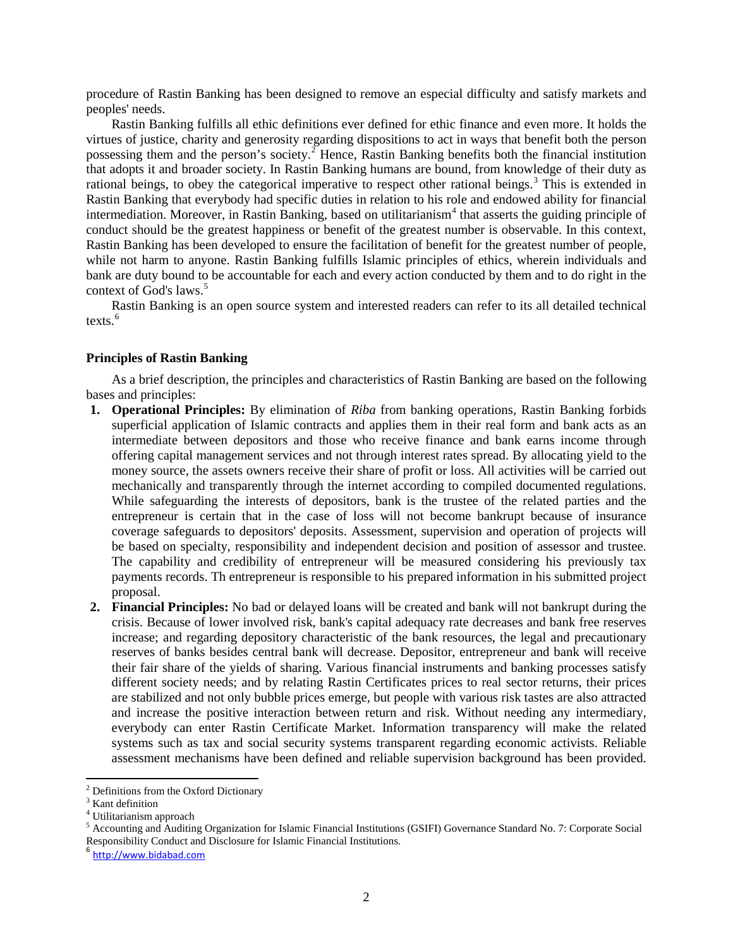procedure of Rastin Banking has been designed to remove an especial difficulty and satisfy markets and peoples' needs.

Rastin Banking fulfills all ethic definitions ever defined for ethic finance and even more. It holds the virtues of justice, charity and generosity regarding dispositions to act in ways that benefit both the person possessing them and the person's society.<sup>[2](#page-1-0)</sup> Hence, Rastin Banking benefits both the financial institution that adopts it and broader society. In Rastin Banking humans are bound, from knowledge of their duty as rational beings, to obey the categorical imperative to respect other rational beings.<sup>[3](#page-1-1)</sup> This is extended in Rastin Banking that everybody had specific duties in relation to his role and endowed ability for financial intermediation. Moreover, in Rastin Banking, based on utilitarianism<sup>[4](#page-1-2)</sup> that asserts the guiding principle of conduct should be the greatest happiness or benefit of the greatest number is observable. In this context, Rastin Banking has been developed to ensure the facilitation of benefit for the greatest number of people, while not harm to anyone. Rastin Banking fulfills Islamic principles of ethics, wherein individuals and bank are duty bound to be accountable for each and every action conducted by them and to do right in the context of God's laws.<sup>[5](#page-1-3)</sup>

Rastin Banking is an open source system and interested readers can refer to its all detailed technical texts.<sup>[6](#page-1-4)</sup>

### **Principles of Rastin Banking**

As a brief description, the principles and characteristics of Rastin Banking are based on the following bases and principles:

- **1. Operational Principles:** By elimination of *Riba* from banking operations, Rastin Banking forbids superficial application of Islamic contracts and applies them in their real form and bank acts as an intermediate between depositors and those who receive finance and bank earns income through offering capital management services and not through interest rates spread. By allocating yield to the money source, the assets owners receive their share of profit or loss. All activities will be carried out mechanically and transparently through the internet according to compiled documented regulations. While safeguarding the interests of depositors, bank is the trustee of the related parties and the entrepreneur is certain that in the case of loss will not become bankrupt because of insurance coverage safeguards to depositors' deposits. Assessment, supervision and operation of projects will be based on specialty, responsibility and independent decision and position of assessor and trustee. The capability and credibility of entrepreneur will be measured considering his previously tax payments records. Th entrepreneur is responsible to his prepared information in his submitted project proposal.
- **2. Financial Principles:** No bad or delayed loans will be created and bank will not bankrupt during the crisis. Because of lower involved risk, bank's capital adequacy rate decreases and bank free reserves increase; and regarding depository characteristic of the bank resources, the legal and precautionary reserves of banks besides central bank will decrease. Depositor, entrepreneur and bank will receive their fair share of the yields of sharing. Various financial instruments and banking processes satisfy different society needs; and by relating Rastin Certificates prices to real sector returns, their prices are stabilized and not only bubble prices emerge, but people with various risk tastes are also attracted and increase the positive interaction between return and risk. Without needing any intermediary, everybody can enter Rastin Certificate Market. Information transparency will make the related systems such as tax and social security systems transparent regarding economic activists. Reliable assessment mechanisms have been defined and reliable supervision background has been provided.

 $\overline{a}$ 

<span id="page-1-0"></span><sup>2</sup> Definitions from the Oxford Dictionary

<span id="page-1-1"></span> $3$  Kant definition

<sup>4</sup> Utilitarianism approach

<span id="page-1-3"></span><span id="page-1-2"></span><sup>5</sup> Accounting and Auditing Organization for Islamic Financial Institutions (GSIFI) Governance Standard No. 7: Corporate Social Responsibility Conduct and Disclosure for Islamic Financial Institutions.

<span id="page-1-4"></span><sup>6</sup> [http://www.bidabad.com](http://www.bidabad.com/)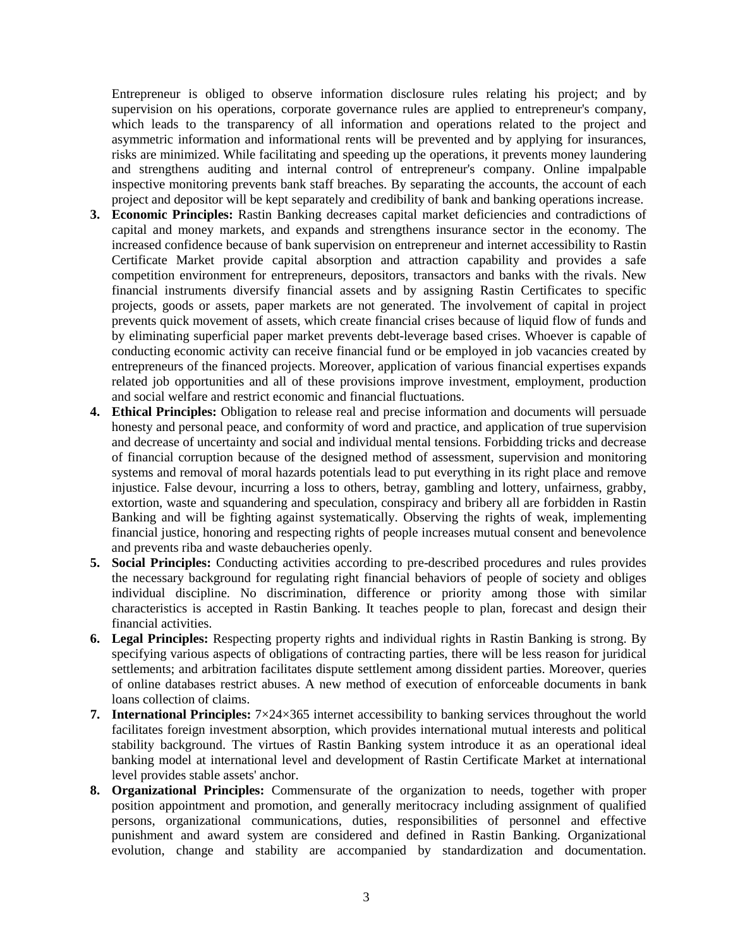Entrepreneur is obliged to observe information disclosure rules relating his project; and by supervision on his operations, corporate governance rules are applied to entrepreneur's company, which leads to the transparency of all information and operations related to the project and asymmetric information and informational rents will be prevented and by applying for insurances, risks are minimized. While facilitating and speeding up the operations, it prevents money laundering and strengthens auditing and internal control of entrepreneur's company. Online impalpable inspective monitoring prevents bank staff breaches. By separating the accounts, the account of each project and depositor will be kept separately and credibility of bank and banking operations increase.

- **3. Economic Principles:** Rastin Banking decreases capital market deficiencies and contradictions of capital and money markets, and expands and strengthens insurance sector in the economy. The increased confidence because of bank supervision on entrepreneur and internet accessibility to Rastin Certificate Market provide capital absorption and attraction capability and provides a safe competition environment for entrepreneurs, depositors, transactors and banks with the rivals. New financial instruments diversify financial assets and by assigning Rastin Certificates to specific projects, goods or assets, paper markets are not generated. The involvement of capital in project prevents quick movement of assets, which create financial crises because of liquid flow of funds and by eliminating superficial paper market prevents debt-leverage based crises. Whoever is capable of conducting economic activity can receive financial fund or be employed in job vacancies created by entrepreneurs of the financed projects. Moreover, application of various financial expertises expands related job opportunities and all of these provisions improve investment, employment, production and social welfare and restrict economic and financial fluctuations.
- **4. Ethical Principles:** Obligation to release real and precise information and documents will persuade honesty and personal peace, and conformity of word and practice, and application of true supervision and decrease of uncertainty and social and individual mental tensions. Forbidding tricks and decrease of financial corruption because of the designed method of assessment, supervision and monitoring systems and removal of moral hazards potentials lead to put everything in its right place and remove injustice. False devour, incurring a loss to others, betray, gambling and lottery, unfairness, grabby, extortion, waste and squandering and speculation, conspiracy and bribery all are forbidden in Rastin Banking and will be fighting against systematically. Observing the rights of weak, implementing financial justice, honoring and respecting rights of people increases mutual consent and benevolence and prevents riba and waste debaucheries openly.
- **5. Social Principles:** Conducting activities according to pre-described procedures and rules provides the necessary background for regulating right financial behaviors of people of society and obliges individual discipline. No discrimination, difference or priority among those with similar characteristics is accepted in Rastin Banking. It teaches people to plan, forecast and design their financial activities.
- **6. Legal Principles:** Respecting property rights and individual rights in Rastin Banking is strong. By specifying various aspects of obligations of contracting parties, there will be less reason for juridical settlements; and arbitration facilitates dispute settlement among dissident parties. Moreover, queries of online databases restrict abuses. A new method of execution of enforceable documents in bank loans collection of claims.
- **7. International Principles:** 7×24×365 internet accessibility to banking services throughout the world facilitates foreign investment absorption, which provides international mutual interests and political stability background. The virtues of Rastin Banking system introduce it as an operational ideal banking model at international level and development of Rastin Certificate Market at international level provides stable assets' anchor.
- **8. Organizational Principles:** Commensurate of the organization to needs, together with proper position appointment and promotion, and generally meritocracy including assignment of qualified persons, organizational communications, duties, responsibilities of personnel and effective punishment and award system are considered and defined in Rastin Banking. Organizational evolution, change and stability are accompanied by standardization and documentation.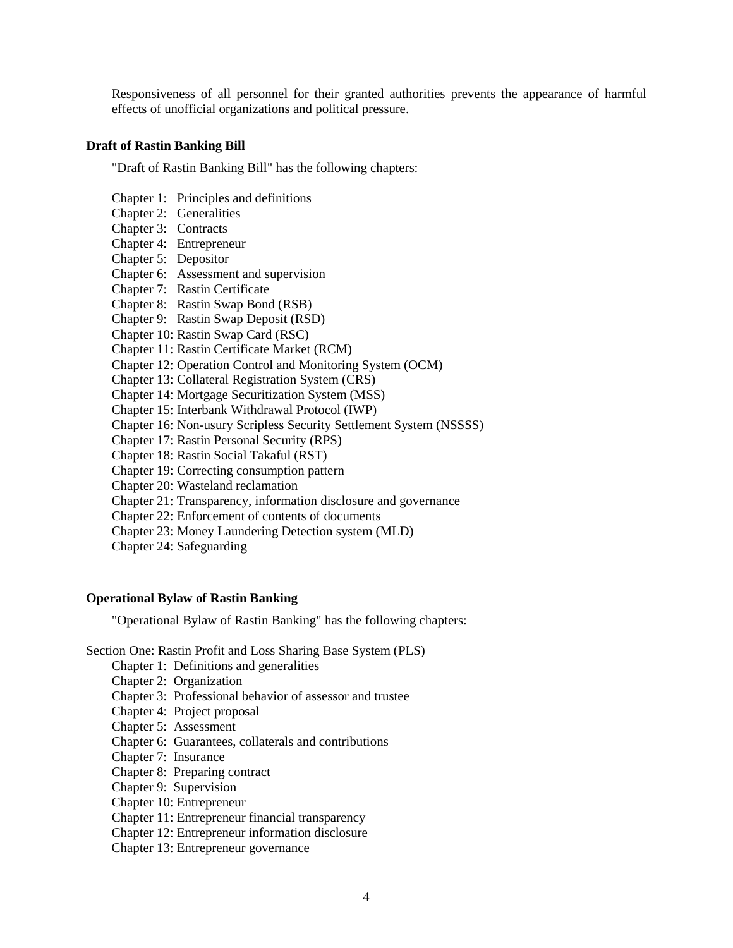Responsiveness of all personnel for their granted authorities prevents the appearance of harmful effects of unofficial organizations and political pressure.

## **Draft of Rastin Banking Bill**

"Draft of Rastin Banking Bill" has the following chapters:

- Chapter 1: Principles and definitions
- Chapter 2: Generalities
- Chapter 3: Contracts
- Chapter 4: Entrepreneur
- Chapter 5: Depositor
- Chapter 6: Assessment and supervision
- Chapter 7: Rastin Certificate
- Chapter 8: Rastin Swap Bond (RSB)
- Chapter 9: Rastin Swap Deposit (RSD)
- Chapter 10: Rastin Swap Card (RSC)
- Chapter 11: Rastin Certificate Market (RCM)
- Chapter 12: Operation Control and Monitoring System (OCM)
- Chapter 13: Collateral Registration System (CRS)
- Chapter 14: Mortgage Securitization System (MSS)
- Chapter 15: Interbank Withdrawal Protocol (IWP)
- Chapter 16: Non-usury Scripless Security Settlement System (NSSSS)
- Chapter 17: Rastin Personal Security (RPS)
- Chapter 18: Rastin Social Takaful (RST)
- Chapter 19: Correcting consumption pattern
- Chapter 20: Wasteland reclamation
- Chapter 21: Transparency, information disclosure and governance
- Chapter 22: Enforcement of contents of documents
- Chapter 23: Money Laundering Detection system (MLD)
- Chapter 24: Safeguarding

## **Operational Bylaw of Rastin Banking**

"Operational Bylaw of Rastin Banking" has the following chapters:

## Section One: Rastin Profit and Loss Sharing Base System (PLS)

- Chapter 1: Definitions and generalities
- Chapter 2: Organization
- Chapter 3: Professional behavior of assessor and trustee
- Chapter 4: Project proposal
- Chapter 5: Assessment
- Chapter 6: Guarantees, collaterals and contributions
- Chapter 7: Insurance
- Chapter 8: Preparing contract
- Chapter 9: Supervision
- Chapter 10: Entrepreneur
- Chapter 11: Entrepreneur financial transparency
- Chapter 12: Entrepreneur information disclosure
- Chapter 13: Entrepreneur governance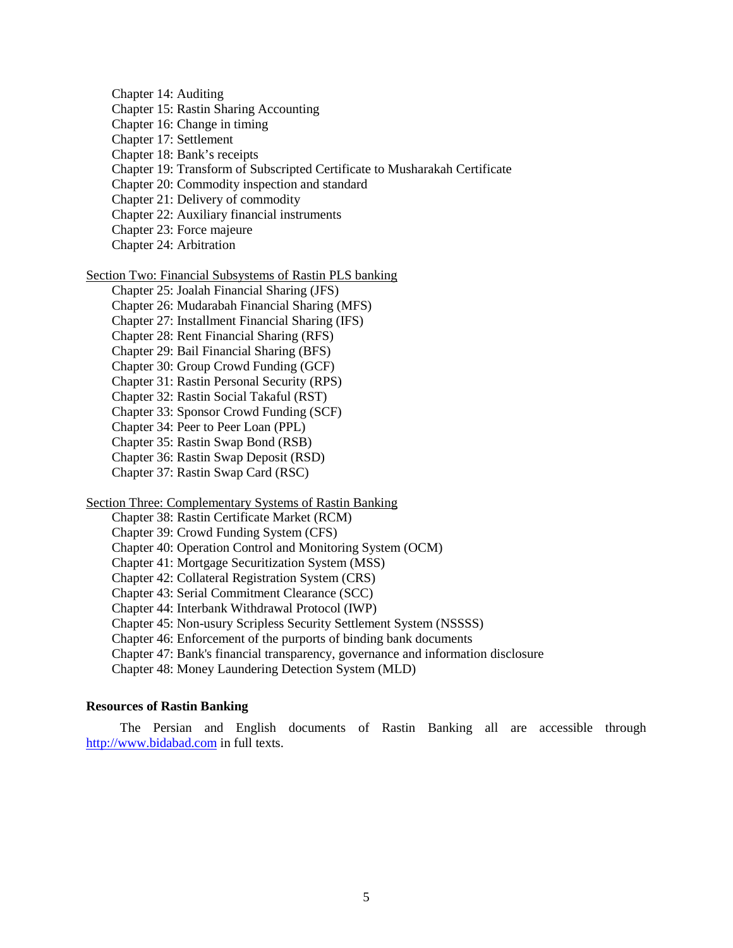Chapter 14: Auditing Chapter 15: Rastin Sharing Accounting Chapter 16: Change in timing Chapter 17: Settlement Chapter 18: Bank's receipts Chapter 19: Transform of Subscripted Certificate to Musharakah Certificate Chapter 20: Commodity inspection and standard Chapter 21: Delivery of commodity Chapter 22: Auxiliary financial instruments Chapter 23: Force majeure Chapter 24: Arbitration Section Two: Financial Subsystems of Rastin PLS banking Chapter 25: Joalah Financial Sharing (JFS)

Chapter 26: Mudarabah Financial Sharing (MFS)

Chapter 27: Installment Financial Sharing (IFS)

Chapter 28: Rent Financial Sharing (RFS)

Chapter 29: Bail Financial Sharing (BFS)

Chapter 30: Group Crowd Funding (GCF)

Chapter 31: Rastin Personal Security (RPS)

Chapter 32: Rastin Social Takaful (RST)

Chapter 33: Sponsor Crowd Funding (SCF)

Chapter 34: Peer to Peer Loan (PPL)

Chapter 35: Rastin Swap Bond (RSB)

Chapter 36: Rastin Swap Deposit (RSD)

Chapter 37: Rastin Swap Card (RSC)

Section Three: Complementary Systems of Rastin Banking

Chapter 38: Rastin Certificate Market (RCM)

Chapter 39: Crowd Funding System (CFS)

Chapter 40: Operation Control and Monitoring System (OCM)

Chapter 41: Mortgage Securitization System (MSS)

Chapter 42: Collateral Registration System (CRS)

Chapter 43: Serial Commitment Clearance (SCC)

Chapter 44: Interbank Withdrawal Protocol (IWP)

Chapter 45: Non-usury Scripless Security Settlement System (NSSSS)

Chapter 46: Enforcement of the purports of binding bank documents

Chapter 47: Bank's financial transparency, governance and information disclosure

Chapter 48: Money Laundering Detection System (MLD)

## **Resources of Rastin Banking**

The Persian and English documents of Rastin Banking all are accessible through [http://www.bidabad.com](http://www.bidabad.com/) in full texts.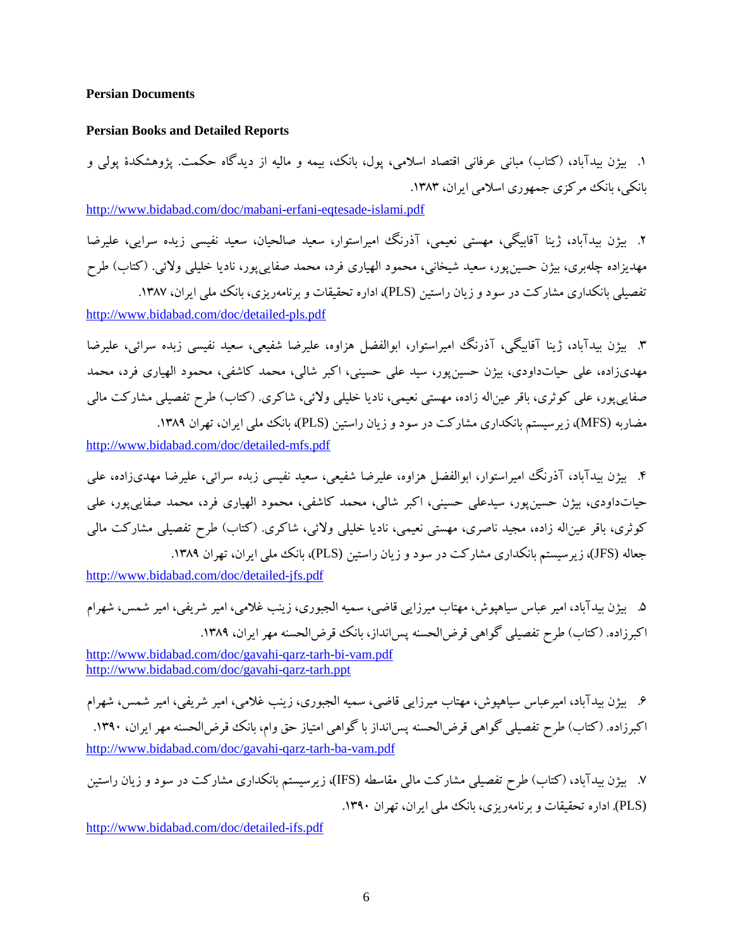#### **Persian Documents**

#### **Persian Books and Detailed Reports**

.1 بیژن بیدآباد، (کتاب) مبانی عرفانی اقتصاد اسلامی، پول، بانک، بیمه و مالیه از دیدگاه حکمت. پژوهشکدة پولی و بانکی، بانک مرکزي جمهوري اسلامي ایران، ۱۳۸۳.

<http://www.bidabad.com/doc/mabani-erfani-eqtesade-islami.pdf>

.2 بیژن بیدآباد، ژینا آقابیگی، مهستی نعیمی، آذرنگ امیراستوار، سعید صالحیان، سعید نفیسی زیده سرایی، علیرضا مهدیزاده چلهبري، بیژن حسینپور، سعید شیخانی، محمود الهیاري فرد، محمد صفاییپور، نادیا خلیلی ولائی. (کتاب) طرح تفصیلی بانکداری مشارکت در سود و زیان راستین (PLS)، اداره تحقیقات و برنامهریزی، بانک ملی ایران، ۱۳۸۷.

<http://www.bidabad.com/doc/detailed-pls.pdf>

.3 بیژن بیدآباد، ژینا آقابیگی، آذرنگ امیراستوار، ابوالفضل هزاوه، علیرضا شفیعی، سعید نفیسی زبده سرائی، علیرضا مهديزاده، علی حیاتداودي، بیژن حسینپور، سید علی حسینی، اکبر شالی، محمد کاشفی، محمود الهیاري فرد، محمد صفاییپور، علی کوثري، باقر عیناله زاده، مهستی نعیمی، نادیا خلیلی ولائی، شاکري. (کتاب) طرح تفصیلی مشارکت مالی مضاربه (MFS)، زیرسیستم بانکداری مشارکت در سود و زیان راستین (PLS)، بانک ملی ایران، تهران ۱۳۸۹.

<http://www.bidabad.com/doc/detailed-mfs.pdf>

.4 بیژن بیدآباد، آذرنگ امیراستوار، ابوالفضل هزاوه، علیرضا شفیعی، سعید نفیسی زبده سرائی، علیرضا مهديزاده، علی حیاتداودي، بیژن حسینپور، سیدعلی حسینی، اکبر شالی، محمد کاشفی، محمود الهیاري فرد، محمد صفاییپور، علی کوثري، باقر عیناله زاده، مجید ناصري، مهستی نعیمی، نادیا خلیلی ولائی، شاکري. (کتاب) طرح تفصیلی مشارکت مالی جعاله (JFS)، زیر سیستم بانکداری مشارکت در سود و زیان راستین (PLS)، بانک ملی ایران، تهران ۱۳۸۹.

<http://www.bidabad.com/doc/detailed-jfs.pdf>

.5 بیژن بیدآباد، امیر عباس سیاهپوش، مهتاب میرزایی قاضی، سمیه الجبوري، زینب غلامی، امیر شریفی، امیر شمس، شهرام اکبرزاده. (کتاب) طرح تفصیلی گواهی قرض الحسنه پس انداز، بانک قرض الحسنه مهر ایران، ۱۳۸۹. <http://www.bidabad.com/doc/gavahi-qarz-tarh-bi-vam.pdf>

<http://www.bidabad.com/doc/gavahi-qarz-tarh.ppt>

.6 بیژن بیدآباد، امیرعباس سیاهپوش، مهتاب میرزایی قاضی، سمیه الجبوري، زینب غلامی، امیر شریفی، امیر شمس، شهرام اکبرزاده. (کتاب) طرح تفصیلی گواهی قرضالحسنه پسانداز با گواهی امتیاز حق وام، بانک قرضالحسنه مهر ایران، .1390 <http://www.bidabad.com/doc/gavahi-qarz-tarh-ba-vam.pdf>

.7 بیژن بیدآباد، (کتاب) طرح تفصیلی مشارکت مالی مقاسطه (IFS(، زیرسیستم بانکداري مشارکت در سود و زیان راستین (PLS(. اداره تحقیقات و برنامهریزي، بانک ملی ایران، تهران .1390

<http://www.bidabad.com/doc/detailed-ifs.pdf>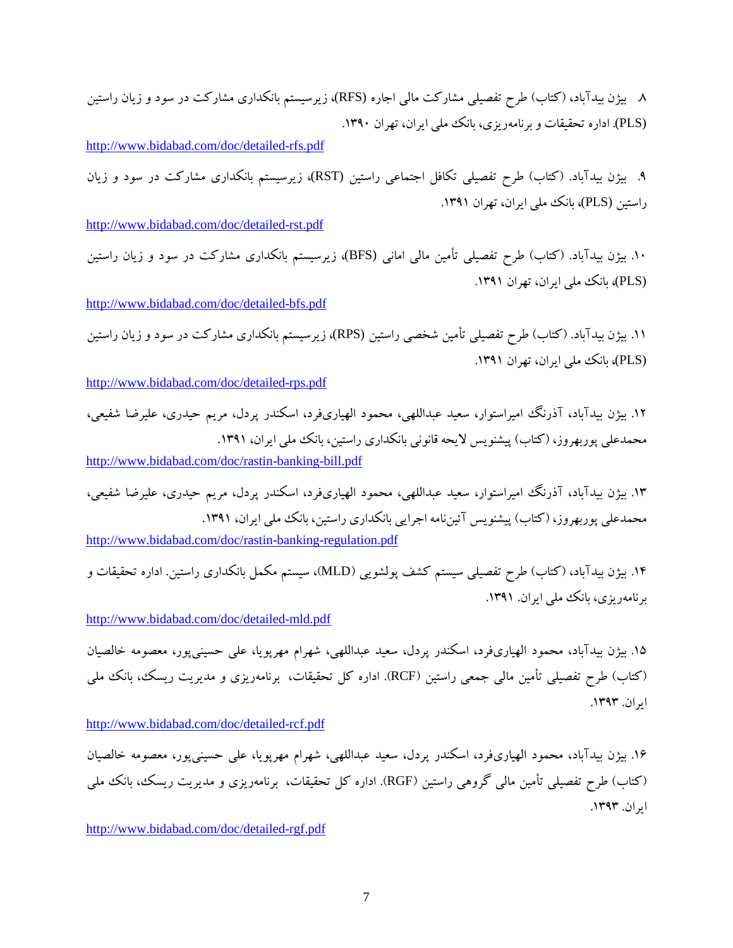.8 بیژن بیدآباد، (کتاب) طرح تفصیلی مشارکت مالی اجاره (RFS(، زیرسیستم بانکداري مشارکت در سود و زیان راستین (PLS(. اداره تحقیقات و برنامهریزي، بانک ملی ایران، تهران .1390

<http://www.bidabad.com/doc/detailed-rfs.pdf>

.9 بیژن بیدآباد. (کتاب) طرح تفصیلی تکافل اجتماعی راستین (RST(، زیرسیستم بانکداري مشارکت در سود و زیان راستین (PLS)، بانک ملی ایران، تهران ۱۳۹۱.

<http://www.bidabad.com/doc/detailed-rst.pdf>

.10 بیژن بیدآباد. (کتاب) طرح تفصیلی تأمین مالی امانی (BFS(، زیرسیستم بانکداري مشارکت در سود و زیان راستین (PLS)، بانک ملی ایران، تهران ١٣٩١.

<http://www.bidabad.com/doc/detailed-bfs.pdf>

.11 بیژن بیدآباد. (کتاب) طرح تفصیلی تأمین شخصی راستین (RPS(، زیرسیستم بانکداري مشارکت در سود و زیان راستین (PLS(، بانک ملی ایران، تهران .1391

<http://www.bidabad.com/doc/detailed-rps.pdf>

.12 بیژن بیدآباد، آذرنگ امیراستوار، سعید عبداللهی، محمود الهیاريفرد، اسکندر پردل، مریم حیدري، علیرضا شفیعی، محمدعلی پوربهروز، (کتاب) پیشنویس لایحه قانونی بانکداری راستین، بانک ملی ایران، ۱۳۹۱. <http://www.bidabad.com/doc/rastin-banking-bill.pdf>

.13 بیژن بیدآباد، آذرنگ امیراستوار، سعید عبداللهی، محمود الهیاريفرد، اسکندر پردل، مریم حیدري، علیرضا شفیعی، محمدعلی پوربهروز، (کتاب) پیشنویس آئینiامه اجرایی بانکداری راستین، بانک ملی ایران، ۱۳۹۱.

<http://www.bidabad.com/doc/rastin-banking-regulation.pdf>

.14 بیژن بیدآباد، (کتاب) طرح تفصیلی سیستم کشف پولشویی (MLD(، سیستم مکمل بانکداري راستین. اداره تحقیقات و برنامهریزي، بانک ملی ایران. .1391

<http://www.bidabad.com/doc/detailed-mld.pdf>

.15 بیژن بیدآباد، محمود الهیاريفرد، اسکندر پردل، سعید عبداللهی، شهرام مهرپویا، علی حسینیپور، معصومه خالصیان (کتاب) طرح تفصیلی تأمین مالی جمعی راستین (RCF(. اداره کل تحقیقات، برنامهریزي و مدیریت ریسک، بانک ملی ایران. .1393

<http://www.bidabad.com/doc/detailed-rcf.pdf>

.16 بیژن بیدآباد، محمود الهیاريفرد، اسکندر پردل، سعید عبداللهی، شهرام مهرپویا، علی حسینیپور، معصومه خالصیان (کتاب) طرح تفصیلی تأمین مالی گروهی راستین (RGF(. اداره کل تحقیقات، برنامهریزي و مدیریت ریسک، بانک ملی ایران. .1393

<http://www.bidabad.com/doc/detailed-rgf.pdf>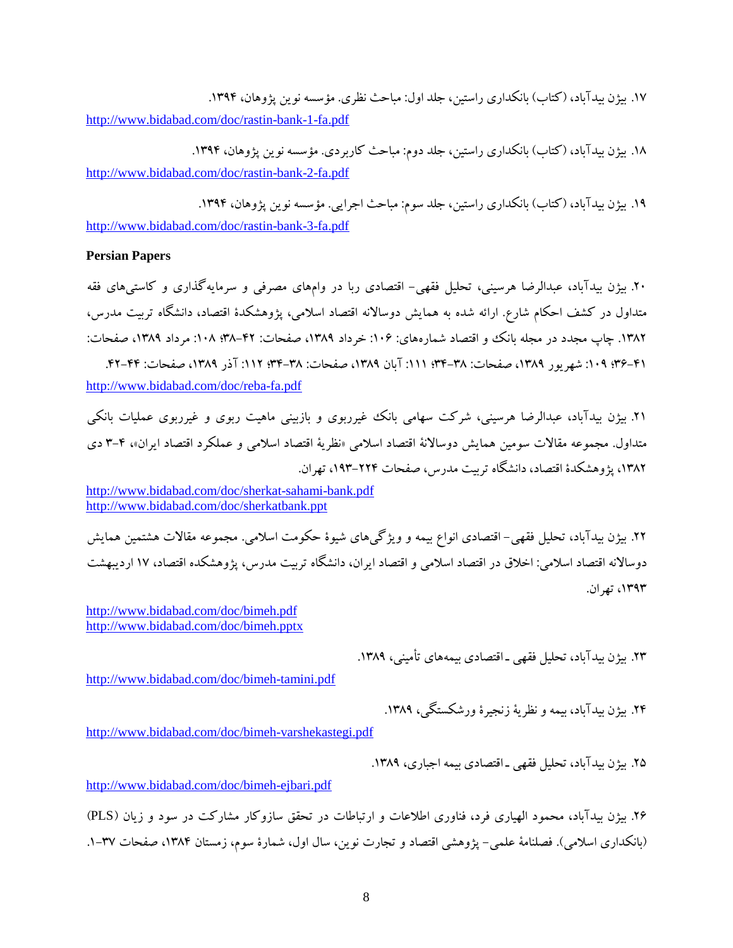۱۷. بیژن بیدآباد، (کتاب) بانکداري راستین، جلد اول: مباحث نظري. مؤسسه نوین پژوهان، ۱۳۹۴. <http://www.bidabad.com/doc/rastin-bank-1-fa.pdf>

۱۸. بیژن بیدآباد، (کتاب) بانکداري راستین، جلد دوم: مباحث کاربردي. مؤسسه نوین پژوهان، ۱۳۹۴. <http://www.bidabad.com/doc/rastin-bank-2-fa.pdf>

۱۹. بیژن بیدآباد، (کتاب) بانکداری راستین، جلد سوم: مباحث اجرایی. مؤسسه نوین پژوهان، ۱۳۹۴. <http://www.bidabad.com/doc/rastin-bank-3-fa.pdf>

#### **Persian Papers**

.20 بیژن بیدآباد، عبدالرضا هرسینی، تحلیل فقهی- اقتصادي ربا در وامهاي مصرفی و سرمایهگذاري و کاستیهاي فقه متداول در کشف احکام شارع. ارائه شده به همایش دوسالانه اقتصاد اسلامی، پژوهشکدة اقتصاد، دانشگاه تربیت مدرس، .1382 چاپ مجدد در مجله بانک و اقتصاد شمارههاي: :106 خرداد ،1389 صفحات: 38-42؛ :108 مرداد ،1389 صفحات: ۴۱-45؛ ۱۰۹: شهریور ۱۳۸۹، صفحات: ۳۸-۳۴؛ ۱۱۱: آبان ۱۳۸۹، صفحات: ۶۲–۴۲؛ ۱۱۲: آذر ۱۳۸۹، صفحات: ۴۴–۴۲. <http://www.bidabad.com/doc/reba-fa.pdf>

.21 بیژن بیدآباد، عبدالرضا هرسینی، شرکت سهامی بانک غیرربوي و بازبینی ماهیت ربوي و غیرربوي عملیات بانکی متداول. مجموعه مقالات سومین همایش دوسالانۀ اقتصاد اسلامی «نظریۀ اقتصاد اسلامی و عملکرد اقتصاد ایران»، 3-4 دي ،1382 پژوهشکدة اقتصاد، دانشگاه تربیت مدرس، صفحات ،193-224 تهران.

<http://www.bidabad.com/doc/sherkat-sahami-bank.pdf> <http://www.bidabad.com/doc/sherkatbank.ppt>

.22 بیژن بیدآباد، تحلیل فقهی- اقتصادي انواع بیمه و ویژگیهاي شیوة حکومت اسلامی. مجموعه مقالات هشتمین همایش دوسالانه اقتصاد اسلامی: اخلاق در اقتصاد اسلامی و اقتصاد ایران، دانشگاه تربیت مدرس، پژوهشکده اقتصاد، 17 اردیبهشت ،1393 تهران.

<http://www.bidabad.com/doc/bimeh.pdf> <http://www.bidabad.com/doc/bimeh.pptx>

.23 بیژن بیدآباد، تحلیل فقهی ـ اقتصادي بیمههاي تأمینی، .1389

<http://www.bidabad.com/doc/bimeh-tamini.pdf>

۲۴. بیژن بیدآباد، بیمه و نظریۀ زنجیرۀ ورشکستگی، ۱۳۸۹.

<http://www.bidabad.com/doc/bimeh-varshekastegi.pdf>

۲۵. بیژن بیدآباد، تحلیل فقهی ـ اقتصادی بیمه اجباری، ۱۳۸۹.

<http://www.bidabad.com/doc/bimeh-ejbari.pdf>

.26 بیژن بیدآباد، محمود الهیاري فرد، فناوري اطلاعات و ارتباطات در تحقق سازوکار مشارکت در سود و زیان (PLS ( (بانکداری اسلامی). فصلنامۀ علمی– پژوهشی اقتصاد و تجارت نوین، سال اول، شمارۀ سوم، زمستان ۱۳۸۴، صفحات ۳۷–۱.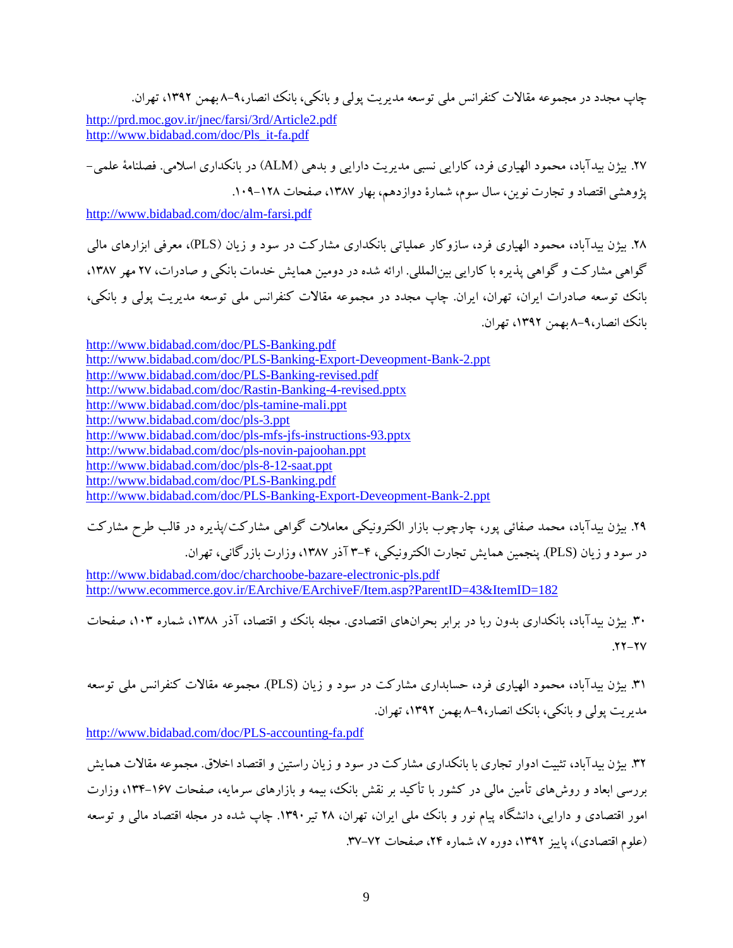چاپ مجدد در مجموعه مقالات کنفرانس ملی توسعه مدیریت پولی و بانکی، بانک انصار8-9، بهمن ،1392 تهران.

<http://prd.moc.gov.ir/jnec/farsi/3rd/Article2.pdf> [http://www.bidabad.com/doc/Pls\\_it-fa.pdf](http://www.bidabad.com/doc/Pls_it-fa.pdf) 

.27 بیژن بیدآباد، محمود الهیاري فرد، کارایی نسبی مدیریت دارایی و بدهی (ALM (در بانکداري اسلامی. فصلنامۀ علمی- پژوهشی اقتصاد و تجارت نوین، سال سوم، شمارهٔ دوازدهم، بهار ۱۳۸۷، صفحات ۱۲۸–۱۰۹.

<http://www.bidabad.com/doc/alm-farsi.pdf>

.28 بیژن بیدآباد، محمود الهیاري فرد، سازوکار عملیاتی بانکداري مشارکت در سود و زیان (PLS(، معرفی ابزارهاي مالی گواهی مشارکت و گواهی پذیره با کارایی بینالمللی. ارائه شده در دومین همایش خدمات بانکی و صادرات، 27 مهر ،1387 بانک توسعه صادرات ایران، تهران، ایران. چاپ مجدد در مجموعه مقالات کنفرانس ملی توسعه مدیریت پولی و بانکی، بانک انصار8-9، بهمن ،1392 تهران.

<http://www.bidabad.com/doc/PLS-Banking.pdf> <http://www.bidabad.com/doc/PLS-Banking-Export-Deveopment-Bank-2.ppt> <http://www.bidabad.com/doc/PLS-Banking-revised.pdf> <http://www.bidabad.com/doc/Rastin-Banking-4-revised.pptx> <http://www.bidabad.com/doc/pls-tamine-mali.ppt> <http://www.bidabad.com/doc/pls-3.ppt> <http://www.bidabad.com/doc/pls-mfs-jfs-instructions-93.pptx> <http://www.bidabad.com/doc/pls-novin-pajoohan.ppt> <http://www.bidabad.com/doc/pls-8-12-saat.ppt> <http://www.bidabad.com/doc/PLS-Banking.pdf> <http://www.bidabad.com/doc/PLS-Banking-Export-Deveopment-Bank-2.ppt>

.29 بیژن بیدآباد، محمد صفائی پور، چارچوب بازار الکترونیکی معاملات گواهی مشارکت/پذیره در قالب طرح مشارکت در سود و زیان (PLS(. پنجمین همایش تجارت الکترونیکی، 3-4 آذر ،1387 وزارت بازرگانی، تهران.

<http://www.bidabad.com/doc/charchoobe-bazare-electronic-pls.pdf> <http://www.ecommerce.gov.ir/EArchive/EArchiveF/Item.asp?ParentID=43&ItemID=182>

.30 بیژن بیدآباد، بانکداري بدون ربا در برابر بحرانهاي اقتصادي. مجله بانک و اقتصاد، آذر ،1388 شماره ،103 صفحات  $.77 - 7V$ 

.31 بیژن بیدآباد، محمود الهیاري فرد، حسابداري مشارکت در سود و زیان (PLS(. مجموعه مقالات کنفرانس ملی توسعه مدیریت پولی و بانکی، بانک انصار8-9، بهمن ،1392 تهران.

<http://www.bidabad.com/doc/PLS-accounting-fa.pdf>

.32 بیژن بیدآباد، تثبیت ادوار تجاري با بانکداري مشارکت در سود و زیان راستین و اقتصاد اخلاق. مجموعه مقالات همایش بررسی ابعاد و روشهاي تأمین مالی در کشور با تأکید بر نقش بانک، بیمه و بازارهاي سرمایه، صفحات ،134-167 وزارت امور اقتصادي و دارایی، دانشگاه پیام نور و بانک ملی ایران، تهران، 28 تیر.1390 چاپ شده در مجله اقتصاد مالی و توسعه (علوم اقتصادی)، پاییز ۱۳۹۲، دوره ۷، شماره ۲۴، صفحات ۷۲-۳۷.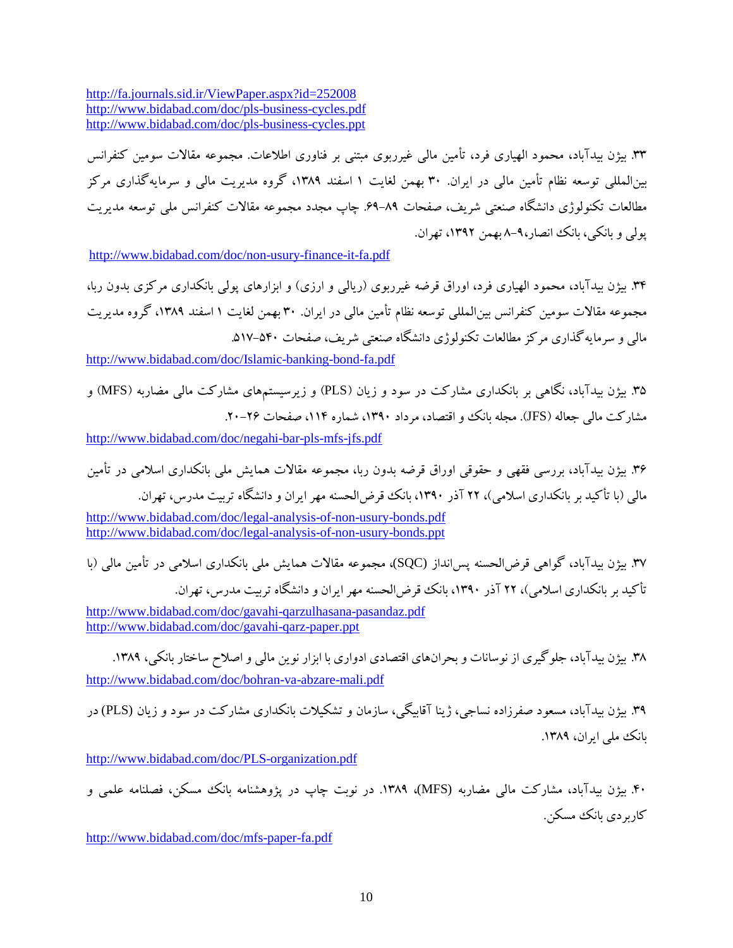<http://fa.journals.sid.ir/ViewPaper.aspx?id=252008> <http://www.bidabad.com/doc/pls-business-cycles.pdf> <http://www.bidabad.com/doc/pls-business-cycles.ppt>

.33 بیژن بیدآباد، محمود الهیاري فرد، تأمین مالی غیرربوي مبتنی بر فناوري اطلاعات. مجموعه مقالات سومین کنفرانس بینالمللی توسعه نظام تأمین مالی در ایران. 30 بهمن لغایت 1 اسفند ،1389 گروه مدیریت مالی و سرمایهگذاري مرکز مطالعات تکنولوژي دانشگاه صنعتی شریف، صفحات .69-89 چاپ مجدد مجموعه مقالات کنفرانس ملی توسعه مدیریت پولی و بانکی، بانک انصار8-9، بهمن ،1392 تهران.

<http://www.bidabad.com/doc/non-usury-finance-it-fa.pdf>

.34 بیژن بیدآباد، محمود الهیاري فرد، اوراق قرضه غیرربوي (ریالی و ارزي) و ابزارهاي پولی بانکداري مرکزي بدون ربا، مجموعه مقالات سومین کنفرانس بینالمللی توسعه نظام تأمین مالی در ایران. 30 بهمن لغایت 1 اسفند ،1389 گروه مدیریت مالی و سرمایهگذاري مرکز مطالعات تکنولوژي دانشگاه صنعتی شریف، صفحات .517-540

<http://www.bidabad.com/doc/Islamic-banking-bond-fa.pdf>

.35 بیژن بیدآباد، نگاهی بر بانکداري مشارکت در سود و زیان (PLS (و زیرسیستمهاي مشارکت مالی مضاربه (MFS (و مشارکت مالی جعاله (JFS). مجله بانک و اقتصاد، مرداد ۱۳۹۰، شماره ۱۱۴، صفحات ۲۶-۲۰.

<http://www.bidabad.com/doc/negahi-bar-pls-mfs-jfs.pdf>

.36 بیژن بیدآباد، بررسی فقهی و حقوقی اوراق قرضه بدون ربا، مجموعه مقالات همایش ملی بانکداري اسلامی در تأمین مالی (با تأکید بر بانکداري اسلامی)، 22 آذر ،1390 بانک قرضالحسنه مهر ایران و دانشگاه تربیت مدرس، تهران.

<http://www.bidabad.com/doc/legal-analysis-of-non-usury-bonds.pdf> <http://www.bidabad.com/doc/legal-analysis-of-non-usury-bonds.ppt>

.37 بیژن بیدآباد، گواهی قرضالحسنه پسانداز (SQC(، مجموعه مقالات همایش ملی بانکداري اسلامی در تأمین مالی (با تأکید بر بانکداري اسلامی)، 22 آذر ،1390 بانک قرضالحسنه مهر ایران و دانشگاه تربیت مدرس، تهران.

<http://www.bidabad.com/doc/gavahi-qarzulhasana-pasandaz.pdf> <http://www.bidabad.com/doc/gavahi-qarz-paper.ppt>

۳۸. بیژن بیدآباد، جلوگیری از نوسانات و بحرانهای اقتصادی ادواری با ابزار نوین مالی و اصلاح ساختار بانکی، ۱۳۸۹. <http://www.bidabad.com/doc/bohran-va-abzare-mali.pdf>

.39 بیژن بیدآباد، مسعود صفرزاده نساجی، ژینا آقابیگی، سازمان و تشکیلات بانکداري مشارکت در سود و زیان (PLS (در بانک ملی ایران، ۱۳۸۹.

<http://www.bidabad.com/doc/PLS-organization.pdf>

.40 بیژن بیدآباد، مشارکت مالی مضاربه (MFS(، .1389 در نوبت چاپ در پژوهشنامه بانک مسکن، فصلنامه علمی و کاربر دي بانک مسکن.

<http://www.bidabad.com/doc/mfs-paper-fa.pdf>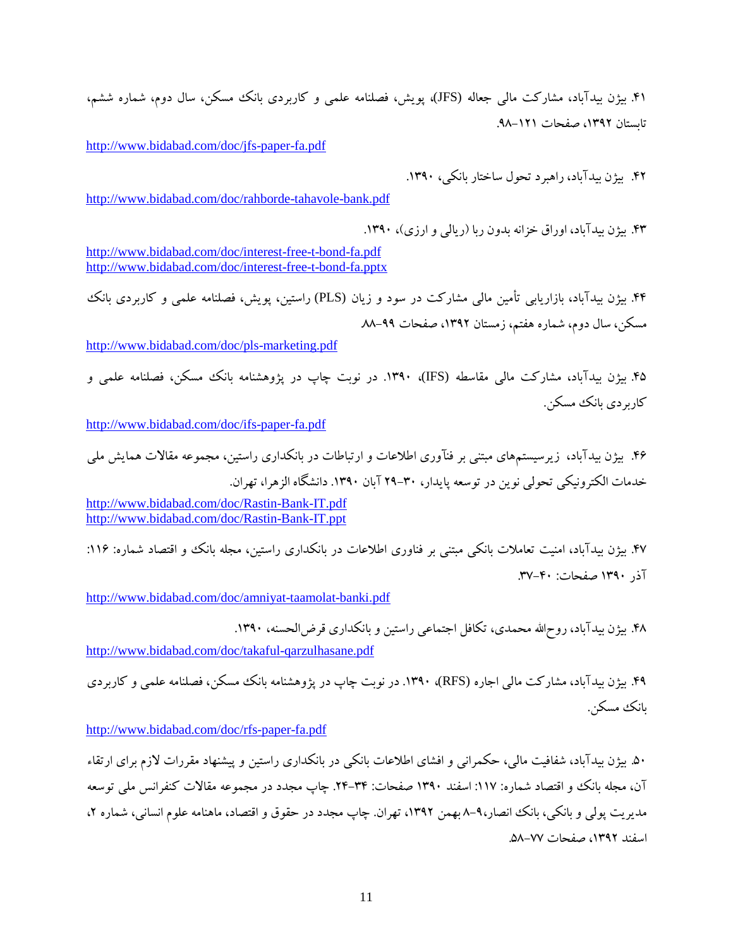.41 بیژن بیدآباد، مشارکت مالی جعاله (JFS(، پویش، فصلنامه علمی و کاربردي بانک مسکن، سال دوم، شماره ششم، تابستان ۱۳۹۲، صفحات ۱۲۱–۹۸.

<http://www.bidabad.com/doc/jfs-paper-fa.pdf>

.42 بیژن بیدآباد، راهبرد تحول ساختار بانکی، .1390

<http://www.bidabad.com/doc/rahborde-tahavole-bank.pdf>

.43 بیژن بیدآباد، اوراق خزانه بدون ربا (ریالی و ارزي)، .1390

<http://www.bidabad.com/doc/interest-free-t-bond-fa.pdf> <http://www.bidabad.com/doc/interest-free-t-bond-fa.pptx>

.44 بیژن بیدآباد، بازاریابی تأمین مالی مشارکت در سود و زیان (PLS (راستین، پویش، فصلنامه علمی و کاربردي بانک مسکن، سال دوم، شماره هفتم، زمستان ،1392 صفحات .88-99

<http://www.bidabad.com/doc/pls-marketing.pdf>

.45 بیژن بیدآباد، مشارکت مالی مقاسطه (IFS(، .1390 در نوبت چاپ در پژوهشنامه بانک مسکن، فصلنامه علمی و کاربر دي بانک مسکن.

[http://www.bidabad.com/doc/ifs-paper-fa.pdf](http://www.bidabad.com/doc/ifs-paper-fa.pdf%20%0d%0d) 

.46 بیژن بیدآباد، زیرسیستمهاي مبتنی بر فنآوري اطلاعات و ارتباطات در بانکداري راستین، مجموعه مقالات همایش ملی خدمات الکترونیکی تحولی نوین در توسعه پایدار، 29-30 آبان .1390 دانشگاه الزهرا، تهران.

<http://www.bidabad.com/doc/Rastin-Bank-IT.pdf> <http://www.bidabad.com/doc/Rastin-Bank-IT.ppt>

.47 بیژن بیدآباد، امنیت تعاملات بانکی مبتنی بر فناوري اطلاعات در بانکداري راستین، مجله بانک و اقتصاد شماره: :116 آذر 1390 صفحات: .37-40

<http://www.bidabad.com/doc/amniyat-taamolat-banki.pdf>

.48 بیژن بیدآباد، روحاالله محمدي، تکافل اجتماعی راستین و بانکداري قرضالحسنه، .1390

<http://www.bidabad.com/doc/takaful-qarzulhasane.pdf>

.49 بیژن بیدآباد، مشارکت مالی اجاره (RFS(، .1390 در نوبت چاپ در پژوهشنامه بانک مسکن، فصلنامه علمی و کاربردي بانک مسکن.

<http://www.bidabad.com/doc/rfs-paper-fa.pdf>

.50 بیژن بیدآباد، شفافیت مالی، حکمرانی و افشاي اطلاعات بانکی در بانکداري راستین و پیشنهاد مقررات لازم براي ارتقاء آن، مجله بانک و اقتصاد شماره: :117 اسفند 1390 صفحات: .24-34 چاپ مجدد در مجموعه مقالات کنفرانس ملی توسعه مدیریت پولی و بانکی، بانک انصار۹-۸ بهمن ۱۳۹۲، تهران. چاپ مجدد در حقوق و اقتصاد، ماهنامه علوم انسانی، شماره ۲، اسفند ،1392 صفحات .58-77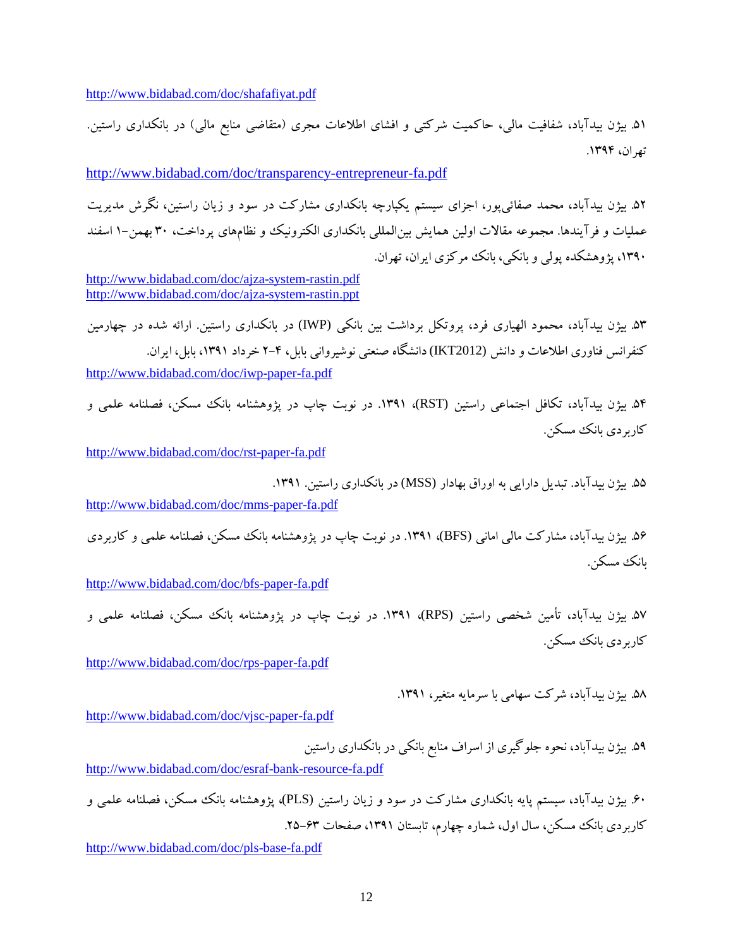<http://www.bidabad.com/doc/shafafiyat.pdf>

.51 بیژن بیدآباد، شفافیت مالی، حاکمیت شرکتی و افشاي اطلاعات مجري (متقاضی منابع مالی) در بانکداري راستین. تهران، .1394

<http://www.bidabad.com/doc/transparency-entrepreneur-fa.pdf>

.52 بیژن بیدآباد، محمد صفائیپور، اجزاي سیستم یکپارچه بانکداري مشارکت در سود و زیان راستین، نگرش مدیریت عملیات و فرآیندها. مجموعه مقالات اولین همایش بینالمللی بانکداري الکترونیک و نظامهاي پرداخت، 30 بهمن1- اسفند ،1390 پژوهشکده پولی و بانکی، بانک مرکزي ایران، تهران.

<http://www.bidabad.com/doc/ajza-system-rastin.pdf> <http://www.bidabad.com/doc/ajza-system-rastin.ppt>

.53 بیژن بیدآباد، محمود الهیاري فرد، پروتکل برداشت بین بانکی (IWP (در بانکداري راستین. ارائه شده در چهارمین کنفرانس فناوري اطلاعات و دانش (2012IKT (دانشگاه صنعتی نوشیروانی بابل، 2-4 خرداد ،1391 بابل، ایران. <http://www.bidabad.com/doc/iwp-paper-fa.pdf>

.54 بیژن بیدآباد، تکافل اجتماعی راستین (RST(، .1391 در نوبت چاپ در پژوهشنامه بانک مسکن، فصلنامه علمی و کاربر دي بانک مسکن.

<http://www.bidabad.com/doc/rst-paper-fa.pdf>

.55 بیژن بیدآباد. تبدیل دارایی به اوراق بهادار (MSS (در بانکداري راستین. .1391

<http://www.bidabad.com/doc/mms-paper-fa.pdf>

.56 بیژن بیدآباد، مشارکت مالی امانی (BFS(، .1391 در نوبت چاپ در پژوهشنامه بانک مسکن، فصلنامه علمی و کاربردي بانک مسکن.

<http://www.bidabad.com/doc/bfs-paper-fa.pdf>

۵۷. بیژن بیدآباد، تأمین شخصی راستین (RPS)، ۱۳۹۱. در نوبت چاپ در پژوهشنامه بانک مسکن، فصلنامه علمی و کاربردي بانک مسکن.

<http://www.bidabad.com/doc/rps-paper-fa.pdf>

.58 بیژن بیدآباد، شرکت سهامی با سرمایه متغیر، .1391

<http://www.bidabad.com/doc/vjsc-paper-fa.pdf>

.59 بیژن بیدآباد، نحوه جلوگیري از اسراف منابع بانکی در بانکداري راستین <http://www.bidabad.com/doc/esraf-bank-resource-fa.pdf>

.60 بیژن بیدآباد، سیستم پایه بانکداري مشارکت در سود و زیان راستین (PLS(، پژوهشنامه بانک مسکن، فصلنامه علمی و کاربردي بانک مسکن، سال اول، شماره چهارم، تابستان ۱۳۹۱، صفحات ۶۳–۲۵.

<http://www.bidabad.com/doc/pls-base-fa.pdf>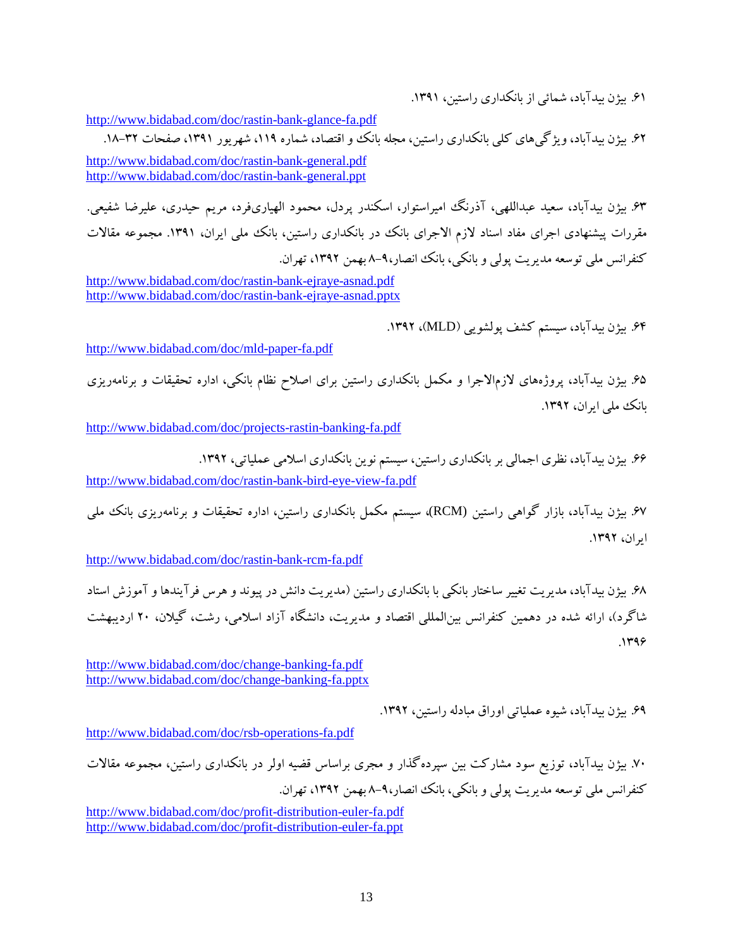.61 بیژن بیدآباد، شمائی از بانکداري راستین، .1391

[http://www.bidabad.com/doc/rastin-bank-glance-fa.pdf](http://www.bidabad.com/doc/rastin-bank-glance-fa.pdf%0d)

۶۲. بیژن بیدآباد، ویژگی های کلی بانکداری راستین، مجله بانک و اقتصاد، شماره ۱۱۹، شهریور ۱۳۹۱، صفحات ۳۲–۱۸. <http://www.bidabad.com/doc/rastin-bank-general.pdf> <http://www.bidabad.com/doc/rastin-bank-general.ppt>

.63 بیژن بیدآباد، سعید عبداللهی، آذرنگ امیراستوار، اسکندر پردل، محمود الهیاريفرد، مریم حیدري، علیرضا شفیعی. مقررات پیشنهادي اجراي مفاد اسناد لازم الاجراي بانک در بانکداري راستین، بانک ملی ایران، .1391 مجموعه مقالات کنفرانس ملی توسعه مدیریت پولی و بانکی، بانک انصار8-9، بهمن ،1392 تهران.

<http://www.bidabad.com/doc/rastin-bank-ejraye-asnad.pdf> <http://www.bidabad.com/doc/rastin-bank-ejraye-asnad.pptx>

.64 بیژن بیدآباد، سیستم کشف پولشویی (MLD(، .1392

<http://www.bidabad.com/doc/mld-paper-fa.pdf>

.65 بیژن بیدآباد، پروژههاي لازمالاجرا و مکمل بانکداري راستین براي اصلاح نظام بانکی، اداره تحقیقات و برنامهریزي بانک ملی ایران، .1392

<http://www.bidabad.com/doc/projects-rastin-banking-fa.pdf>

.66 بیژن بیدآباد، نظري اجمالی بر بانکداري راستین، سیستم نوین بانکداري اسلامی عملیاتی، .1392 <http://www.bidabad.com/doc/rastin-bank-bird-eye-view-fa.pdf>

.67 بیژن بیدآباد، بازار گواهی راستین (RCM(، سیستم مکمل بانکداري راستین، اداره تحقیقات و برنامهریزي بانک ملی ایران، .1392

<http://www.bidabad.com/doc/rastin-bank-rcm-fa.pdf>

.68 بیژن بیدآباد، مدیریت تغییر ساختار بانکی با بانکداري راستین (مدیریت دانش در پیوند و هرس فرآیندها و آموزش استاد شاگرد)، ارائه شده در دهمین کنفرانس بینالمللی اقتصاد و مدیریت، دانشگاه آزاد اسلامی، رشت، گیلان، 20 اردیبهشت  $.1499$ 

<http://www.bidabad.com/doc/change-banking-fa.pdf> <http://www.bidabad.com/doc/change-banking-fa.pptx>

.69 بیژن بیدآباد، شیوه عملیاتی اوراق مبادله راستین، .1392

<http://www.bidabad.com/doc/rsb-operations-fa.pdf>

.70 بیژن بیدآباد، توزیع سود مشارکت بین سپردهگذار و مجري براساس قضیه اولر در بانکداري راستین، مجموعه مقالات کنفرانس ملی توسعه مدیریت پولی و بانکی، بانک انصار8-9، بهمن ،1392 تهران.

<http://www.bidabad.com/doc/profit-distribution-euler-fa.pdf> <http://www.bidabad.com/doc/profit-distribution-euler-fa.ppt>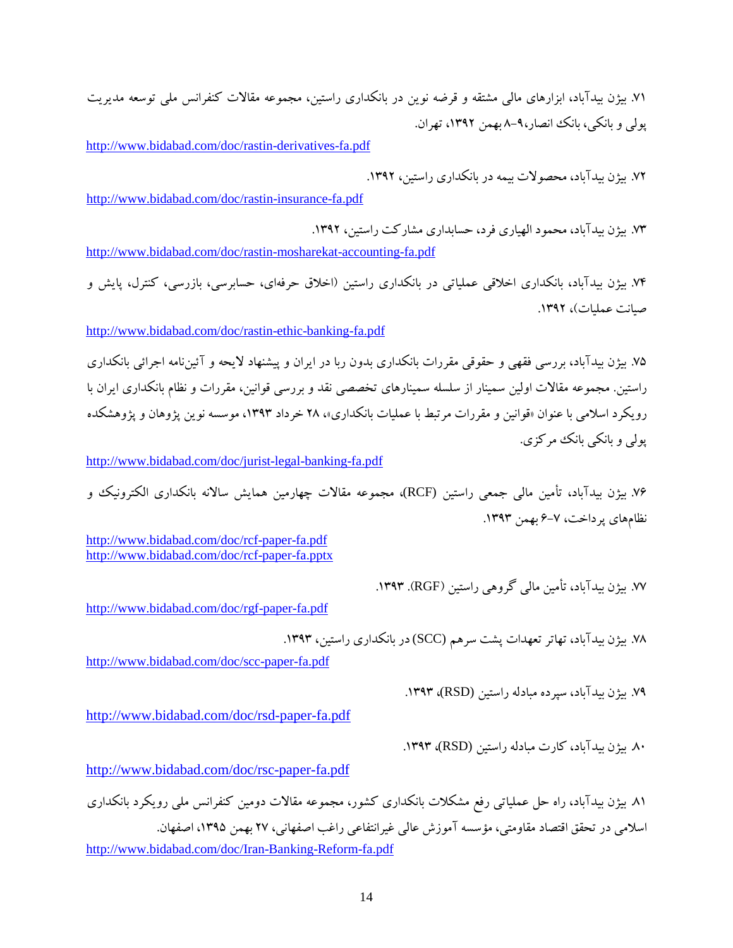.71 بیژن بیدآباد، ابزارهاي مالی مشتقه و قرضه نوین در بانکداري راستین، مجموعه مقالات کنفرانس ملی توسعه مدیریت پولی و بانکی، بانک انصار،۹-۸ بهمن ۱۳۹۲، تهران.

<http://www.bidabad.com/doc/rastin-derivatives-fa.pdf>

.72 بیژن بیدآباد، محصولات بیمه در بانکداري راستین، .1392

<http://www.bidabad.com/doc/rastin-insurance-fa.pdf>

.73 بیژن بیدآباد، محمود الهیاري فرد، حسابداري مشارکت راستین، .1392

<http://www.bidabad.com/doc/rastin-mosharekat-accounting-fa.pdf>

.74 بیژن بیدآباد، بانکداري اخلاقی عملیاتی در بانکداري راستین (اخلاق حرفهاي، حسابرسی، بازرسی، کنترل، پایش و صیانت عملیات)، .1392

<http://www.bidabad.com/doc/rastin-ethic-banking-fa.pdf>

.75 بیژن بیدآباد، بررسی فقهی و حقوقی مقررات بانکداري بدون ربا در ایران و پیشنهاد لایحه و آئیننامه اجرائی بانکداري راستین. مجموعه مقالات اولین سمینار از سلسله سمینارهاي تخصصی نقد و بررسی قوانین، مقررات و نظام بانکداري ایران با رویکرد اسلامی با عنوان «قوانین و مقررات مرتبط با عملیات بانکداري»، 28 خرداد ،1393 موسسه نوین پژوهان و پژوهشکده پولی و بانکی بانک مرکزي.

<http://www.bidabad.com/doc/jurist-legal-banking-fa.pdf>

.76 بیژن بیدآباد، تأمین مالی جمعی راستین (RCF(، مجموعه مقالات چهارمین همایش سالانه بانکداري الکترونیک و نظامهاي پرداخت، ٧-۶ بهمن ١٣٩٣.

<http://www.bidabad.com/doc/rcf-paper-fa.pdf> <http://www.bidabad.com/doc/rcf-paper-fa.pptx>

.77 بیژن بیدآباد، تأمین مالی گروهی راستین (RGF(. .1393

[http://www.bidabad.com/doc/rgf-paper-fa.pdf](http://www.bidabad.com/doc/rgf-paper-fa.pdf%20%0d) 

.78 بیژن بیدآباد، تهاتر تعهدات پشت سرهم (SCC (در بانکداري راستین، .1393

<http://www.bidabad.com/doc/scc-paper-fa.pdf>

.79 بیژن بیدآباد، سپرده مبادله راستین (RSD(، .1393

<http://www.bidabad.com/doc/rsd-paper-fa.pdf>

.80 بیژن بیدآباد، کارت مبادله راستین (RSD(، .1393

<http://www.bidabad.com/doc/rsc-paper-fa.pdf>

.81 بیژن بیدآباد، راه حل عملیاتی رفع مشکلات بانکداري کشور، مجموعه مقالات دومین کنفرانس ملی رویکرد بانکداري اسلامی در تحقق اقتصاد مقاومتی، مؤسسه آموزش عالی غیرانتفاعی راغب اصفهانی، 27 بهمن ،1395 اصفهان. <http://www.bidabad.com/doc/Iran-Banking-Reform-fa.pdf>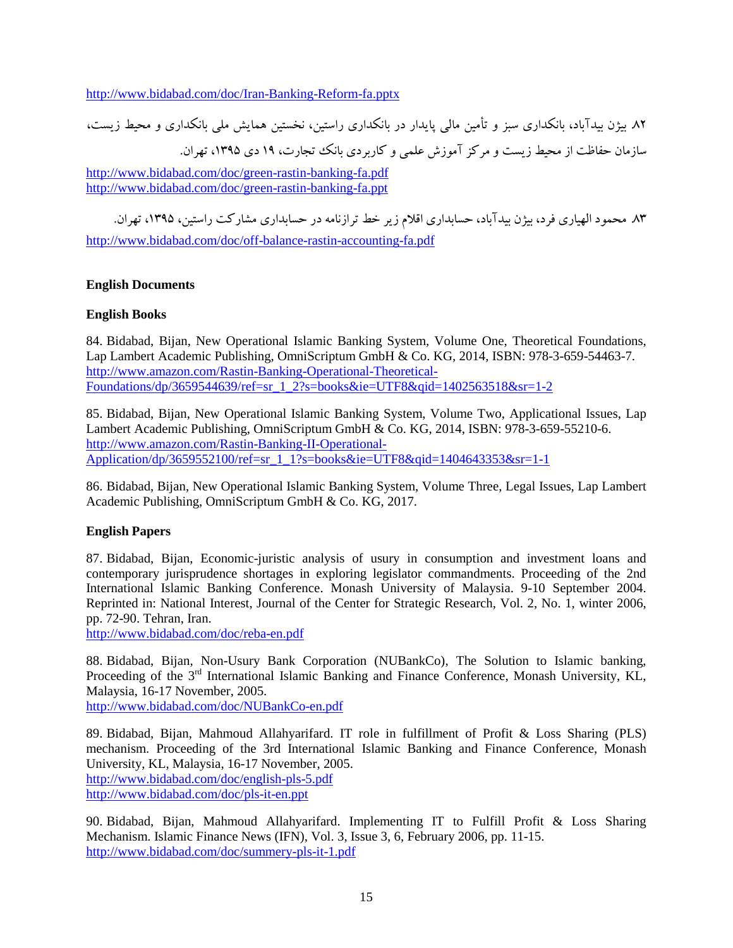<http://www.bidabad.com/doc/Iran-Banking-Reform-fa.pptx>

.82 بیژن بیدآباد، بانکداري سبز و تأمین مالی پایدار در بانکداري راستین، نخستین همایش ملی بانکداري و محیط زیست، سازمان حفاظت از محیط زیست و مرکز آموزش علمی و کاربردي بانک تجارت، 19 دي ،1395 تهران.

<http://www.bidabad.com/doc/green-rastin-banking-fa.pdf> <http://www.bidabad.com/doc/green-rastin-banking-fa.ppt>

.83 محمود الهیاري فرد، بیژن بیدآباد، حسابداري اقلام زیر خط ترازنامه در حسابداري مشارکت راستین، ،1395 تهران. <http://www.bidabad.com/doc/off-balance-rastin-accounting-fa.pdf>

# **English Documents**

# **English Books**

84. Bidabad, Bijan, New Operational Islamic Banking System, Volume One, Theoretical Foundations, Lap Lambert Academic Publishing, OmniScriptum GmbH & Co. KG, 2014, ISBN: 978-3-659-54463-7. [http://www.amazon.com/Rastin-Banking-Operational-Theoretical-](http://www.amazon.com/Rastin-Banking-Operational-Theoretical-Foundations/dp/3659544639/ref=sr_1_2?s=books&ie=UTF8&qid=1402563518&sr=1-2)[Foundations/dp/3659544639/ref=sr\\_1\\_2?s=books&ie=UTF8&qid=1402563518&sr=1-2](http://www.amazon.com/Rastin-Banking-Operational-Theoretical-Foundations/dp/3659544639/ref=sr_1_2?s=books&ie=UTF8&qid=1402563518&sr=1-2)

85. Bidabad, Bijan, New Operational Islamic Banking System, Volume Two, Applicational Issues, Lap Lambert Academic Publishing, OmniScriptum GmbH & Co. KG, 2014, ISBN: 978-3-659-55210-6. [http://www.amazon.com/Rastin-Banking-II-Operational-](http://www.amazon.com/Rastin-Banking-II-Operational-Application/dp/3659552100/ref=sr_1_1?s=books&ie=UTF8&qid=1404643353&sr=1-1)[Application/dp/3659552100/ref=sr\\_1\\_1?s=books&ie=UTF8&qid=1404643353&sr=1-1](http://www.amazon.com/Rastin-Banking-II-Operational-Application/dp/3659552100/ref=sr_1_1?s=books&ie=UTF8&qid=1404643353&sr=1-1)

86. Bidabad, Bijan, New Operational Islamic Banking System, Volume Three, Legal Issues, Lap Lambert Academic Publishing, OmniScriptum GmbH & Co. KG, 2017.

# **English Papers**

87. Bidabad, Bijan, Economic-juristic analysis of usury in consumption and investment loans and contemporary jurisprudence shortages in exploring legislator commandments. Proceeding of the 2nd International Islamic Banking Conference. Monash University of Malaysia. 9-10 September 2004. Reprinted in: National Interest, Journal of the Center for Strategic Research, Vol. 2, No. 1, winter 2006, pp. 72-90. Tehran, Iran.

<http://www.bidabad.com/doc/reba-en.pdf>

88. Bidabad, Bijan, Non-Usury Bank Corporation (NUBankCo), The Solution to Islamic banking, Proceeding of the 3<sup>rd</sup> International Islamic Banking and Finance Conference, Monash University, KL, Malaysia, 16-17 November, 2005.

<http://www.bidabad.com/doc/NUBankCo-en.pdf>

89. Bidabad, Bijan, Mahmoud Allahyarifard. IT role in fulfillment of Profit & Loss Sharing (PLS) mechanism. Proceeding of the 3rd International Islamic Banking and Finance Conference, Monash University, KL, Malaysia, 16-17 November, 2005. <http://www.bidabad.com/doc/english-pls-5.pdf> <http://www.bidabad.com/doc/pls-it-en.ppt>

90. Bidabad, Bijan, Mahmoud Allahyarifard. Implementing IT to Fulfill Profit & Loss Sharing Mechanism. Islamic Finance News (IFN), Vol. 3, Issue 3, 6, February 2006, pp. 11-15. <http://www.bidabad.com/doc/summery-pls-it-1.pdf>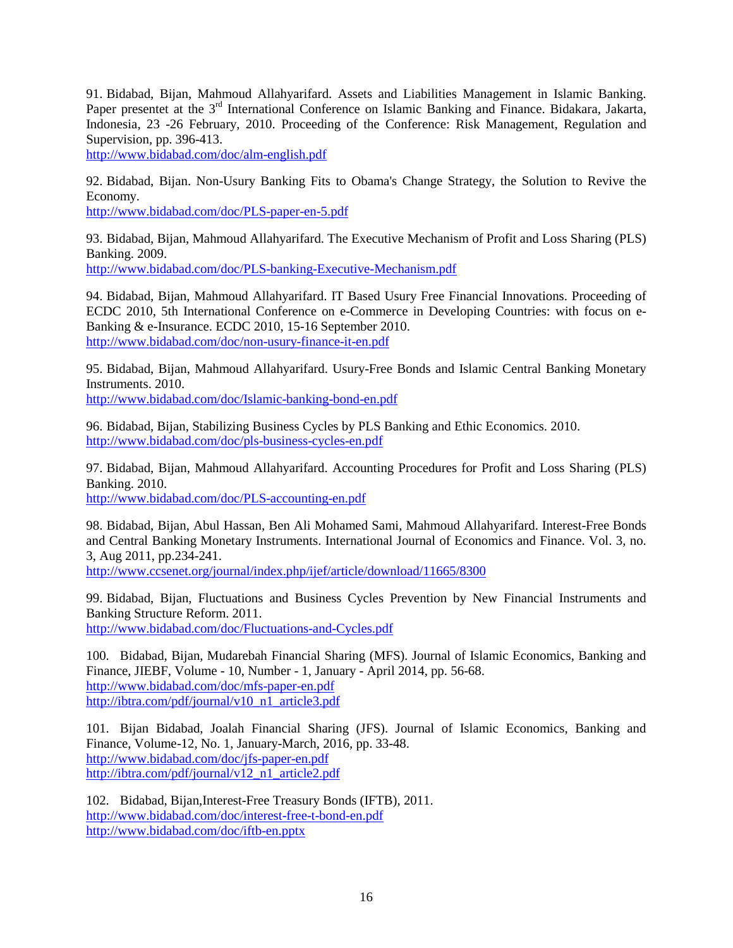91. Bidabad, Bijan, Mahmoud Allahyarifard. Assets and Liabilities Management in Islamic Banking. Paper presentet at the 3<sup>rd</sup> International Conference on Islamic Banking and Finance. Bidakara, Jakarta, Indonesia, 23 -26 February, 2010. Proceeding of the Conference: Risk Management, Regulation and Supervision, pp. 396-413.

<http://www.bidabad.com/doc/alm-english.pdf>

92. Bidabad, Bijan. Non-Usury Banking Fits to Obama's Change Strategy, the Solution to Revive the Economy.

<http://www.bidabad.com/doc/PLS-paper-en-5.pdf>

93. Bidabad, Bijan, Mahmoud Allahyarifard. The Executive Mechanism of Profit and Loss Sharing (PLS) Banking. 2009.

<http://www.bidabad.com/doc/PLS-banking-Executive-Mechanism.pdf>

94. Bidabad, Bijan, Mahmoud Allahyarifard. IT Based Usury Free Financial Innovations. Proceeding of ECDC 2010, 5th International Conference on e-Commerce in Developing Countries: with focus on e-Banking & e-Insurance. ECDC 2010, 15-16 September 2010. <http://www.bidabad.com/doc/non-usury-finance-it-en.pdf>

95. Bidabad, Bijan, Mahmoud Allahyarifard. Usury-Free Bonds and Islamic Central Banking Monetary Instruments. 2010.

<http://www.bidabad.com/doc/Islamic-banking-bond-en.pdf>

96. Bidabad, Bijan, Stabilizing Business Cycles by PLS Banking and Ethic Economics. 2010. <http://www.bidabad.com/doc/pls-business-cycles-en.pdf>

97. Bidabad, Bijan, Mahmoud Allahyarifard. Accounting Procedures for Profit and Loss Sharing (PLS) Banking. 2010.

<http://www.bidabad.com/doc/PLS-accounting-en.pdf>

98. Bidabad, Bijan, Abul Hassan, Ben Ali Mohamed Sami, Mahmoud Allahyarifard. Interest-Free Bonds and Central Banking Monetary Instruments. International Journal of Economics and Finance. Vol. 3, no. 3, Aug 2011, pp.234-241.

<http://www.ccsenet.org/journal/index.php/ijef/article/download/11665/8300>

99. Bidabad, Bijan, Fluctuations and Business Cycles Prevention by New Financial Instruments and Banking Structure Reform. 2011.

<http://www.bidabad.com/doc/Fluctuations-and-Cycles.pdf>

100. Bidabad, Bijan, Mudarebah Financial Sharing (MFS). Journal of Islamic Economics, Banking and Finance, JIEBF, Volume - 10, Number - 1, January - April 2014, pp. 56-68. <http://www.bidabad.com/doc/mfs-paper-en.pdf> [http://ibtra.com/pdf/journal/v10\\_n1\\_article3.pdf](http://ibtra.com/pdf/journal/v10_n1_article3.pdf)

101. Bijan Bidabad, Joalah Financial Sharing (JFS). Journal of Islamic Economics, Banking and Finance, Volume-12, No. 1, January-March, 2016, pp. 33-48. <http://www.bidabad.com/doc/jfs-paper-en.pdf> [http://ibtra.com/pdf/journal/v12\\_n1\\_article2.pdf](http://ibtra.com/pdf/journal/v12_n1_article2.pdf)

102. Bidabad, Bijan,Interest-Free Treasury Bonds (IFTB), 2011. <http://www.bidabad.com/doc/interest-free-t-bond-en.pdf> <http://www.bidabad.com/doc/iftb-en.pptx>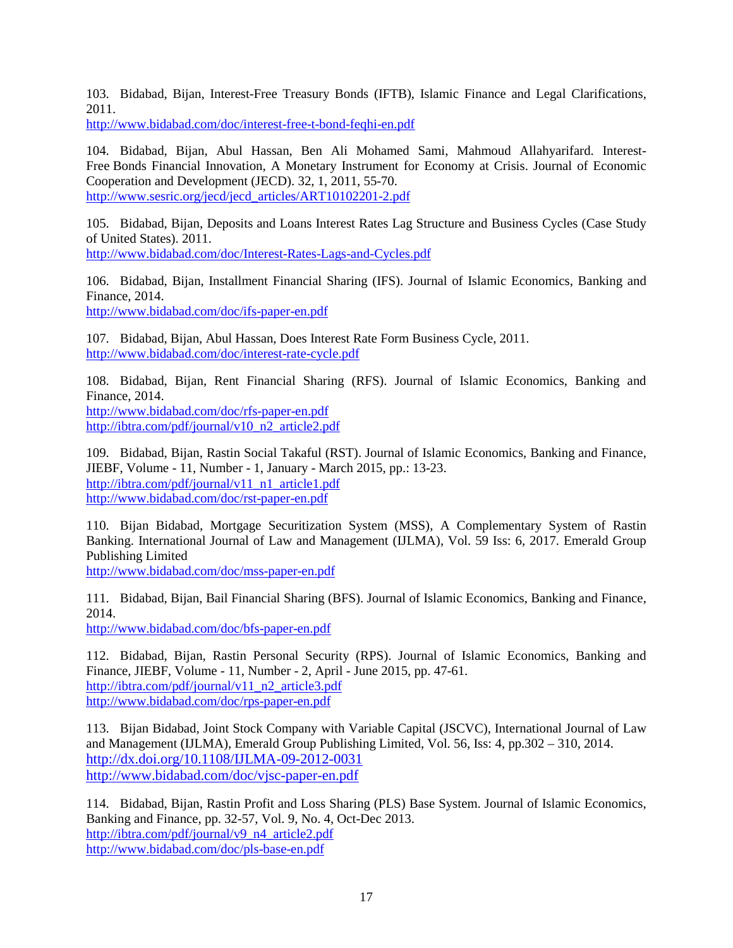103. Bidabad, Bijan, Interest-Free Treasury Bonds (IFTB), Islamic Finance and Legal Clarifications, 2011.

<http://www.bidabad.com/doc/interest-free-t-bond-feqhi-en.pdf>

104. Bidabad, Bijan, Abul Hassan, Ben Ali Mohamed Sami, Mahmoud Allahyarifard. Interest-Free Bonds Financial Innovation, A Monetary Instrument for Economy at Crisis. Journal of Economic Cooperation and Development (JECD). 32, 1, 2011, 55-70. [http://www.sesric.org/jecd/jecd\\_articles/ART10102201-2.pdf](http://www.sesric.org/jecd/jecd_articles/ART10102201-2.pdf)

105. Bidabad, Bijan, Deposits and Loans Interest Rates Lag Structure and Business Cycles (Case Study of United States). 2011.

<http://www.bidabad.com/doc/Interest-Rates-Lags-and-Cycles.pdf>

106. Bidabad, Bijan, Installment Financial Sharing (IFS). Journal of Islamic Economics, Banking and Finance, 2014.

<http://www.bidabad.com/doc/ifs-paper-en.pdf>

107. Bidabad, Bijan, Abul Hassan, Does Interest Rate Form Business Cycle, 2011. <http://www.bidabad.com/doc/interest-rate-cycle.pdf>

108. Bidabad, Bijan, Rent Financial Sharing (RFS). Journal of Islamic Economics, Banking and Finance, 2014.

<http://www.bidabad.com/doc/rfs-paper-en.pdf> [http://ibtra.com/pdf/journal/v10\\_n2\\_article2.pdf](http://ibtra.com/pdf/journal/v10_n2_article2.pdf)

109. Bidabad, Bijan, Rastin Social Takaful (RST). Journal of Islamic Economics, Banking and Finance, JIEBF, Volume - 11, Number - 1, January - March 2015, pp.: 13-23. [http://ibtra.com/pdf/journal/v11\\_n1\\_article1.pdf](http://ibtra.com/pdf/journal/v11_n1_article1.pdf) <http://www.bidabad.com/doc/rst-paper-en.pdf>

110. Bijan Bidabad, Mortgage Securitization System (MSS), A Complementary System of Rastin Banking. International Journal of Law and Management (IJLMA), Vol. 59 Iss: 6, 2017. Emerald Group Publishing Limited

<http://www.bidabad.com/doc/mss-paper-en.pdf>

111. Bidabad, Bijan, Bail Financial Sharing (BFS). Journal of Islamic Economics, Banking and Finance, 2014.

[http://www.bidabad.com/doc/bfs-paper-en.pdf](http://www.bidabad.com/doc/bfs-paper-en.pdf%20%0d) 

112. Bidabad, Bijan, Rastin Personal Security (RPS). Journal of Islamic Economics, Banking and Finance, JIEBF, Volume - 11, Number - 2, April - June 2015, pp. 47-61. [http://ibtra.com/pdf/journal/v11\\_n2\\_article3.pdf](http://ibtra.com/pdf/journal/v11_n2_article3.pdf) <http://www.bidabad.com/doc/rps-paper-en.pdf>

113. Bijan Bidabad, Joint Stock Company with Variable Capital (JSCVC), International Journal of Law and Management (IJLMA), Emerald Group Publishing Limited, Vol. 56, Iss: 4, pp.302 – 310, 2014. <http://dx.doi.org/10.1108/IJLMA-09-2012-0031> <http://www.bidabad.com/doc/vjsc-paper-en.pdf>

114. Bidabad, Bijan, Rastin Profit and Loss Sharing (PLS) Base System. Journal of Islamic Economics, Banking and Finance, pp. 32-57, Vol. 9, No. 4, Oct-Dec 2013. [http://ibtra.com/pdf/journal/v9\\_n4\\_article2.pdf](http://ibtra.com/pdf/journal/v9_n4_article2.pdf) [http://www.bidabad.com/doc/pls-base-en.pdf](http://www.bidabad.com/doc/pls-base-en.pdf%20%0d)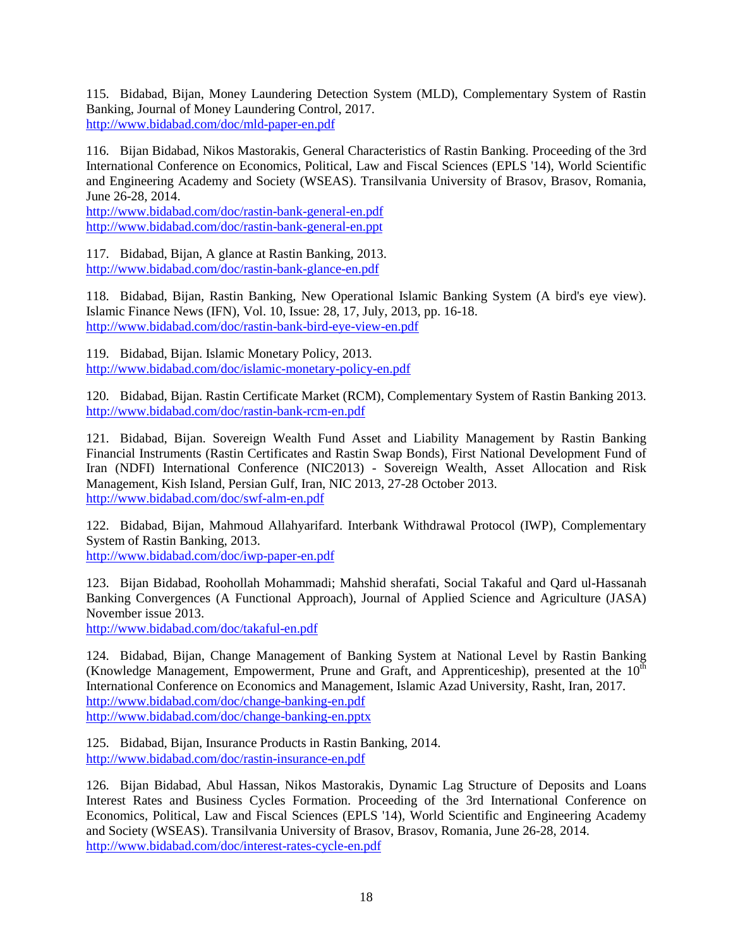115. Bidabad, Bijan, Money Laundering Detection System (MLD), Complementary System of Rastin Banking, Journal of Money Laundering Control, 2017. <http://www.bidabad.com/doc/mld-paper-en.pdf>

116. Bijan Bidabad, Nikos Mastorakis, General Characteristics of Rastin Banking. Proceeding of the 3rd International Conference on Economics, Political, Law and Fiscal Sciences (EPLS '14), World Scientific and Engineering Academy and Society (WSEAS). Transilvania University of Brasov, Brasov, Romania, June 26-28, 2014.

<http://www.bidabad.com/doc/rastin-bank-general-en.pdf> <http://www.bidabad.com/doc/rastin-bank-general-en.ppt>

117. Bidabad, Bijan, A glance at Rastin Banking, 2013. <http://www.bidabad.com/doc/rastin-bank-glance-en.pdf>

118. Bidabad, Bijan, Rastin Banking, New Operational Islamic Banking System (A bird's eye view). Islamic Finance News (IFN), Vol. 10, Issue: 28, 17, July, 2013, pp. 16-18. <http://www.bidabad.com/doc/rastin-bank-bird-eye-view-en.pdf>

119. Bidabad, Bijan. Islamic Monetary Policy, 2013. <http://www.bidabad.com/doc/islamic-monetary-policy-en.pdf>

120. Bidabad, Bijan. Rastin Certificate Market (RCM), Complementary System of Rastin Banking 2013. <http://www.bidabad.com/doc/rastin-bank-rcm-en.pdf>

121. Bidabad, Bijan. Sovereign Wealth Fund Asset and Liability Management by Rastin Banking Financial Instruments (Rastin Certificates and Rastin Swap Bonds), First National Development Fund of Iran (NDFI) International Conference (NIC2013) - Sovereign Wealth, Asset Allocation and Risk Management, Kish Island, Persian Gulf, Iran, NIC 2013, 27-28 October 2013. <http://www.bidabad.com/doc/swf-alm-en.pdf>

122. Bidabad, Bijan, Mahmoud Allahyarifard. Interbank Withdrawal Protocol (IWP), Complementary System of Rastin Banking, 2013.

<http://www.bidabad.com/doc/iwp-paper-en.pdf>

123. Bijan Bidabad, Roohollah Mohammadi; Mahshid sherafati, Social Takaful and Qard ul-Hassanah Banking Convergences (A Functional Approach), Journal of Applied Science and Agriculture (JASA) November issue 2013.

<http://www.bidabad.com/doc/takaful-en.pdf>

124. Bidabad, Bijan, Change Management of Banking System at National Level by Rastin Banking (Knowledge Management, Empowerment, Prune and Graft, and Apprenticeship), presented at the  $10<sup>th</sup>$ International Conference on Economics and Management, Islamic Azad University, Rasht, Iran, 2017. <http://www.bidabad.com/doc/change-banking-en.pdf> <http://www.bidabad.com/doc/change-banking-en.pptx>

125. Bidabad, Bijan, Insurance Products in Rastin Banking, 2014. <http://www.bidabad.com/doc/rastin-insurance-en.pdf>

126. Bijan Bidabad, Abul Hassan, Nikos Mastorakis, Dynamic Lag Structure of Deposits and Loans Interest Rates and Business Cycles Formation. Proceeding of the 3rd International Conference on Economics, Political, Law and Fiscal Sciences (EPLS '14), World Scientific and Engineering Academy and Society (WSEAS). Transilvania University of Brasov, Brasov, Romania, June 26-28, 2014. <http://www.bidabad.com/doc/interest-rates-cycle-en.pdf>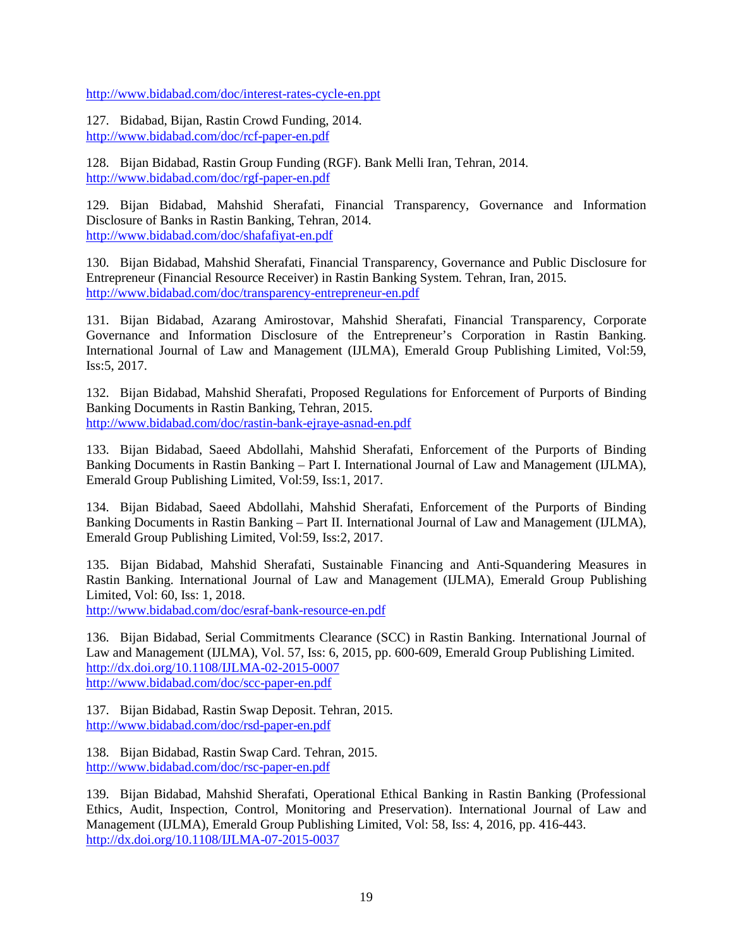<http://www.bidabad.com/doc/interest-rates-cycle-en.ppt>

127. Bidabad, Bijan, Rastin Crowd Funding, 2014. [http://www.bidabad.com/doc/rcf-paper-en.pdf](http://www.bidabad.com/doc/rcf-paper-en.pdf%0d)

128. Bijan Bidabad, Rastin Group Funding (RGF). Bank Melli Iran, Tehran, 2014. <http://www.bidabad.com/doc/rgf-paper-en.pdf>

129. Bijan Bidabad, Mahshid Sherafati, Financial Transparency, Governance and Information Disclosure of Banks in Rastin Banking, Tehran, 2014. [http://www.bidabad.com/doc/shafafiyat-en.pdf](http://www.bidabad.com/doc/shafafiyat-en.pdf%20%0d) 

130. Bijan Bidabad, Mahshid Sherafati, Financial Transparency, Governance and Public Disclosure for Entrepreneur (Financial Resource Receiver) in Rastin Banking System. Tehran, Iran, 2015. <http://www.bidabad.com/doc/transparency-entrepreneur-en.pdf>

131. Bijan Bidabad, Azarang Amirostovar, Mahshid Sherafati, Financial Transparency, Corporate Governance and Information Disclosure of the Entrepreneur's Corporation in Rastin Banking. International Journal of Law and Management (IJLMA), Emerald Group Publishing Limited, Vol:59, Iss:5, 2017.

132. Bijan Bidabad, Mahshid Sherafati, Proposed Regulations for Enforcement of Purports of Binding Banking Documents in Rastin Banking, Tehran, 2015. [http://www.bidabad.com/doc/rastin-bank-ejraye-asnad-en.pdf](http://www.bidabad.com/doc/rastin-bank-ejraye-asnad-en.pdf%20%0d) 

133. Bijan Bidabad, Saeed Abdollahi, Mahshid Sherafati, Enforcement of the Purports of Binding Banking Documents in Rastin Banking – Part I. International Journal of Law and Management (IJLMA), Emerald Group Publishing Limited, Vol:59, Iss:1, 2017.

134. Bijan Bidabad, Saeed Abdollahi, Mahshid Sherafati, Enforcement of the Purports of Binding Banking Documents in Rastin Banking – Part II. International Journal of Law and Management (IJLMA), Emerald Group Publishing Limited, Vol:59, Iss:2, 2017.

135. Bijan Bidabad, Mahshid Sherafati, Sustainable Financing and Anti-Squandering Measures in Rastin Banking. International Journal of Law and Management (IJLMA), Emerald Group Publishing Limited, Vol: 60, Iss: 1, 2018.

<http://www.bidabad.com/doc/esraf-bank-resource-en.pdf>

136. Bijan Bidabad, Serial Commitments Clearance (SCC) in Rastin Banking. International Journal of Law and Management (IJLMA), Vol. 57, Iss: 6, 2015, pp. 600-609, Emerald Group Publishing Limited. <http://dx.doi.org/10.1108/IJLMA-02-2015-0007> <http://www.bidabad.com/doc/scc-paper-en.pdf>

137. Bijan Bidabad, Rastin Swap Deposit. Tehran, 2015. <http://www.bidabad.com/doc/rsd-paper-en.pdf>

138. Bijan Bidabad, Rastin Swap Card. Tehran, 2015. [http://www.bidabad.com/doc/rsc-paper-en.pdf](http://www.bidabad.com/doc/rsc-paper-en.pdf%0d)

139. Bijan Bidabad, Mahshid Sherafati, Operational Ethical Banking in Rastin Banking (Professional Ethics, Audit, Inspection, Control, Monitoring and Preservation). International Journal of Law and Management (IJLMA), Emerald Group Publishing Limited, Vol: 58, Iss: 4, 2016, pp. 416-443. <http://dx.doi.org/10.1108/IJLMA-07-2015-0037>